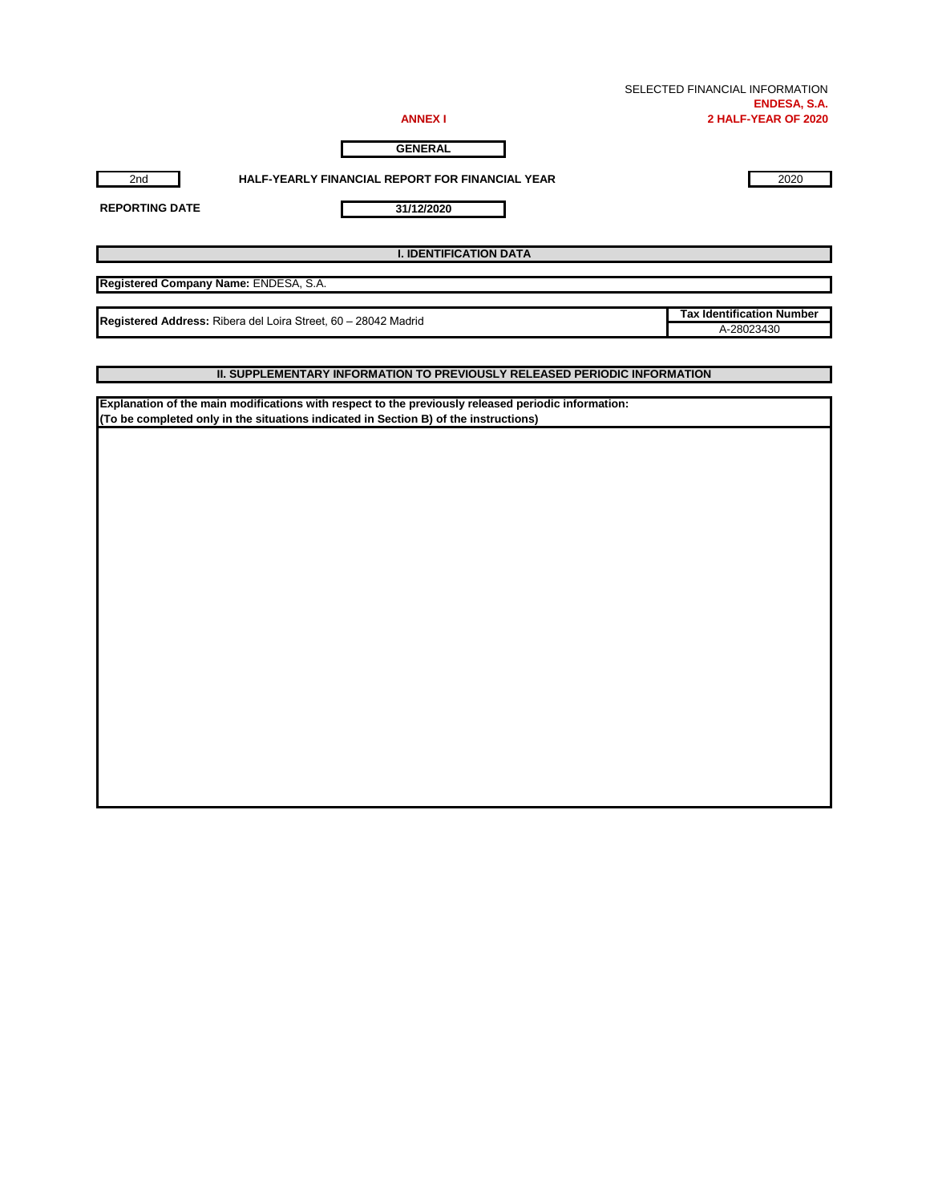| SELECTED FINANCIAL INFORMATION |
|--------------------------------|
| <b>ENDESA, S.A.</b>            |
| 2 HALF-YEAR OF 2020            |

**Tax Identification Number**

**ANNEX I**

**GENERAL**

**31/12/2020**

2nd **HALF-YEARLY FINANCIAL REPORT FOR FINANCIAL YEAR** 2020

**REPORTING DATE**

**I. IDENTIFICATION DATA**

**Registered Company Name:** ENDESA, S.A.

A-28023430 **Registered Address:** Ribera del Loira Street, 60 – 28042 Madrid

**II. SUPPLEMENTARY INFORMATION TO PREVIOUSLY RELEASED PERIODIC INFORMATION**

**Explanation of the main modifications with respect to the previously released periodic information: (To be completed only in the situations indicated in Section B) of the instructions)**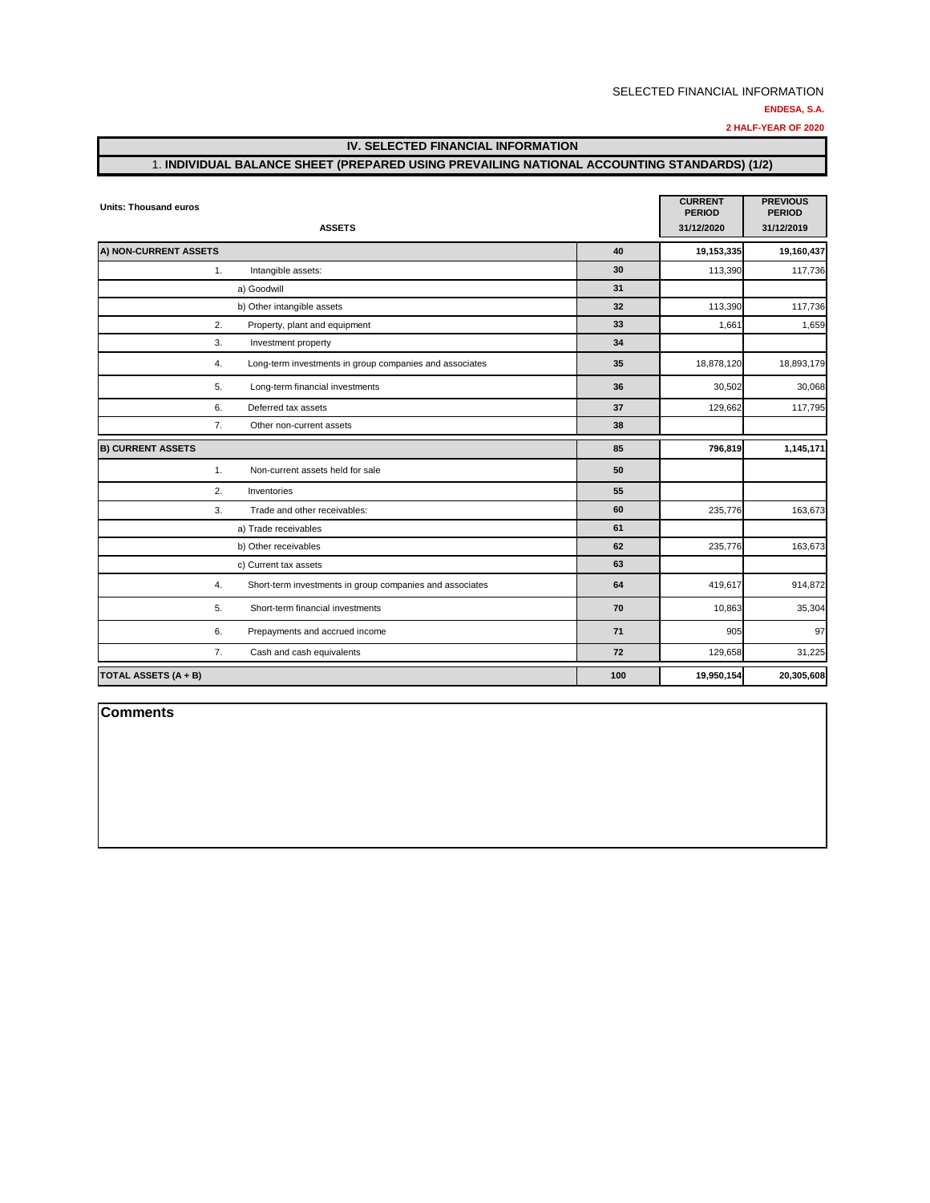#### **ENDESA, S.A.**

**2 HALF-YEAR OF 2020**

# **IV. SELECTED FINANCIAL INFORMATION**

## 1. **INDIVIDUAL BALANCE SHEET (PREPARED USING PREVAILING NATIONAL ACCOUNTING STANDARDS) (1/2)**

| <b>Units: Thousand euros</b>                                   |     |            |            |  |  |  |  |
|----------------------------------------------------------------|-----|------------|------------|--|--|--|--|
| <b>ASSETS</b>                                                  |     | 31/12/2020 | 31/12/2019 |  |  |  |  |
| A) NON-CURRENT ASSETS                                          | 40  | 19,153,335 | 19,160,437 |  |  |  |  |
| Intangible assets:<br>1.                                       | 30  | 113,390    | 117,736    |  |  |  |  |
| a) Goodwill                                                    | 31  |            |            |  |  |  |  |
| b) Other intangible assets                                     | 32  | 113,390    | 117,736    |  |  |  |  |
| 2.<br>Property, plant and equipment                            | 33  | 1,661      | 1,659      |  |  |  |  |
| 3.<br>Investment property                                      | 34  |            |            |  |  |  |  |
| 4.<br>Long-term investments in group companies and associates  | 35  | 18,878,120 | 18,893,179 |  |  |  |  |
| 5.<br>Long-term financial investments                          | 36  | 30,502     | 30,068     |  |  |  |  |
| 6.<br>Deferred tax assets                                      | 37  | 129,662    | 117,795    |  |  |  |  |
| 7.<br>Other non-current assets                                 | 38  |            |            |  |  |  |  |
| <b>B) CURRENT ASSETS</b>                                       | 85  | 796,819    | 1,145,171  |  |  |  |  |
| 1.<br>Non-current assets held for sale                         | 50  |            |            |  |  |  |  |
| 2.<br>Inventories                                              | 55  |            |            |  |  |  |  |
| Trade and other receivables:<br>3.                             | 60  | 235,776    | 163,673    |  |  |  |  |
| a) Trade receivables                                           | 61  |            |            |  |  |  |  |
| b) Other receivables                                           | 62  | 235,776    | 163,673    |  |  |  |  |
| c) Current tax assets                                          | 63  |            |            |  |  |  |  |
| 4.<br>Short-term investments in group companies and associates | 64  | 419,617    | 914,872    |  |  |  |  |
| 5.<br>Short-term financial investments                         | 70  | 10,863     | 35,304     |  |  |  |  |
| 6.<br>Prepayments and accrued income                           | 71  | 905        | 97         |  |  |  |  |
| 7.<br>Cash and cash equivalents                                | 72  | 129,658    | 31,225     |  |  |  |  |
| TOTAL ASSETS (A + B)                                           | 100 | 19,950,154 | 20,305,608 |  |  |  |  |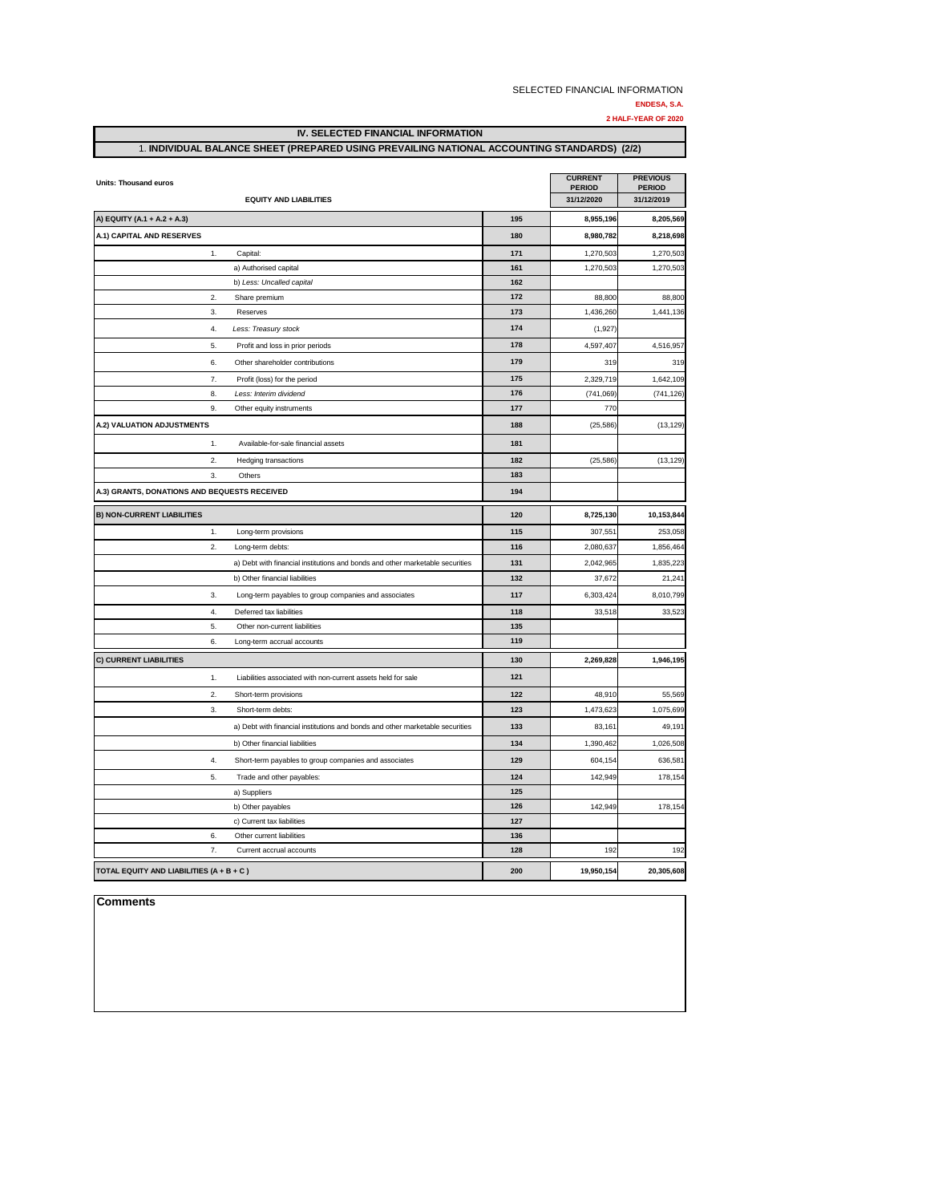|                                              |                                                                                             |            | SELECTED FINANCIAL INFORMATION | <b>ENDESA, S.A.</b><br>2 HALF-YEAR OF 2020 |
|----------------------------------------------|---------------------------------------------------------------------------------------------|------------|--------------------------------|--------------------------------------------|
|                                              | <b>IV. SELECTED FINANCIAL INFORMATION</b>                                                   |            |                                |                                            |
|                                              | 1. INDIVIDUAL BALANCE SHEET (PREPARED USING PREVAILING NATIONAL ACCOUNTING STANDARDS) (2/2) |            |                                |                                            |
| <b>Units: Thousand euros</b>                 |                                                                                             |            | <b>CURRENT</b>                 | <b>PREVIOUS</b>                            |
|                                              | <b>EQUITY AND LIABILITIES</b>                                                               |            | <b>PERIOD</b><br>31/12/2020    | <b>PERIOD</b><br>31/12/2019                |
| A) EQUITY (A.1 + A.2 + A.3)                  |                                                                                             | 195        | 8,955,196                      | 8,205,569                                  |
| A.1) CAPITAL AND RESERVES                    |                                                                                             | 180        | 8,980,782                      | 8,218,698                                  |
| 1.                                           | Capital:                                                                                    | 171        | 1,270,503                      | 1,270,503                                  |
|                                              | a) Authorised capital                                                                       | 161        | 1,270,503                      | 1,270,503                                  |
|                                              | b) Less: Uncalled capital                                                                   | 162        |                                |                                            |
| 2.                                           | Share premium                                                                               | 172        | 88,800                         | 88,800                                     |
| 3.                                           | Reserves                                                                                    | 173        | 1,436,260                      | 1,441,136                                  |
| 4.                                           | Less: Treasury stock                                                                        | 174        | (1, 927)                       |                                            |
| 5.                                           | Profit and loss in prior periods                                                            | 178        | 4,597,407                      | 4,516,957                                  |
| 6.                                           | Other shareholder contributions                                                             | 179        | 319                            | 319                                        |
| 7.                                           | Profit (loss) for the period                                                                | 175        | 2,329,719                      | 1,642,109                                  |
| 8.                                           | Less: Interim dividend                                                                      | 176        | (741, 069)                     | (741, 126)                                 |
| 9.                                           | Other equity instruments                                                                    | 177        | 770                            |                                            |
| A.2) VALUATION ADJUSTMENTS                   |                                                                                             | 188        | (25, 586)                      | (13, 129)                                  |
| 1.                                           | Available-for-sale financial assets                                                         | 181        |                                |                                            |
|                                              |                                                                                             |            |                                |                                            |
| 2.                                           | Hedging transactions                                                                        | 182        | (25, 586)                      | (13, 129)                                  |
| 3.                                           | Others                                                                                      | 183        |                                |                                            |
| A.3) GRANTS, DONATIONS AND BEQUESTS RECEIVED |                                                                                             | 194        |                                |                                            |
| <b>B) NON-CURRENT LIABILITIES</b>            |                                                                                             | 120        | 8,725,130                      | 10,153,844                                 |
| 1.                                           | Long-term provisions                                                                        | 115        | 307,551                        | 253,058                                    |
| $\mathfrak{D}$                               | Long-term debts:                                                                            | 116        | 2,080,637                      | 1,856,464                                  |
|                                              | a) Debt with financial institutions and bonds and other marketable securities               | 131        | 2,042,965                      | 1,835,223                                  |
|                                              | b) Other financial liabilities                                                              | 132        | 37,672                         | 21,241                                     |
| 3.                                           | Long-term payables to group companies and associates                                        | 117        | 6,303,424                      | 8,010,799                                  |
| 4.                                           | Deferred tax liabilities                                                                    | 118        | 33,518                         | 33,523                                     |
| 5.                                           | Other non-current liabilities                                                               | 135        |                                |                                            |
| 6.                                           | Long-term accrual accounts                                                                  | 119        |                                |                                            |
| C) CURRENT LIABILITIES                       |                                                                                             | 130        | 2,269,828                      | 1,946,195                                  |
| 1.                                           | Liabilities associated with non-current assets held for sale                                | 121        |                                |                                            |
| $\overline{2}$                               | Short-term provisions                                                                       | 122        | 48,910                         | 55,569                                     |
| 3.                                           | Short-term debts:                                                                           | 123        | 1,473,623                      | 1,075,699                                  |
|                                              | a) Debt with financial institutions and bonds and other marketable securities               | 133        | 83,161                         | 49,191                                     |
|                                              | b) Other financial liabilities                                                              | 134        | 1,390,462                      | 1,026,508                                  |
|                                              |                                                                                             |            |                                |                                            |
| 4.                                           | Short-term payables to group companies and associates                                       | 129        | 604,154                        | 636,581                                    |
| 5.                                           | Trade and other payables:                                                                   | 124        | 142,949                        | 178,154                                    |
|                                              | a) Suppliers                                                                                | 125        |                                |                                            |
|                                              | b) Other payables                                                                           | 126<br>127 | 142,949                        | 178,154                                    |
|                                              | c) Current tax liabilities                                                                  | 136        |                                |                                            |
| 6.                                           | Other current liabilities                                                                   |            |                                |                                            |

7. Current accrual accounts **128** 192 192

**TOTAL EQUITY AND LIABILITIES (A + B + C ) 200 19,950,154 20,305,608**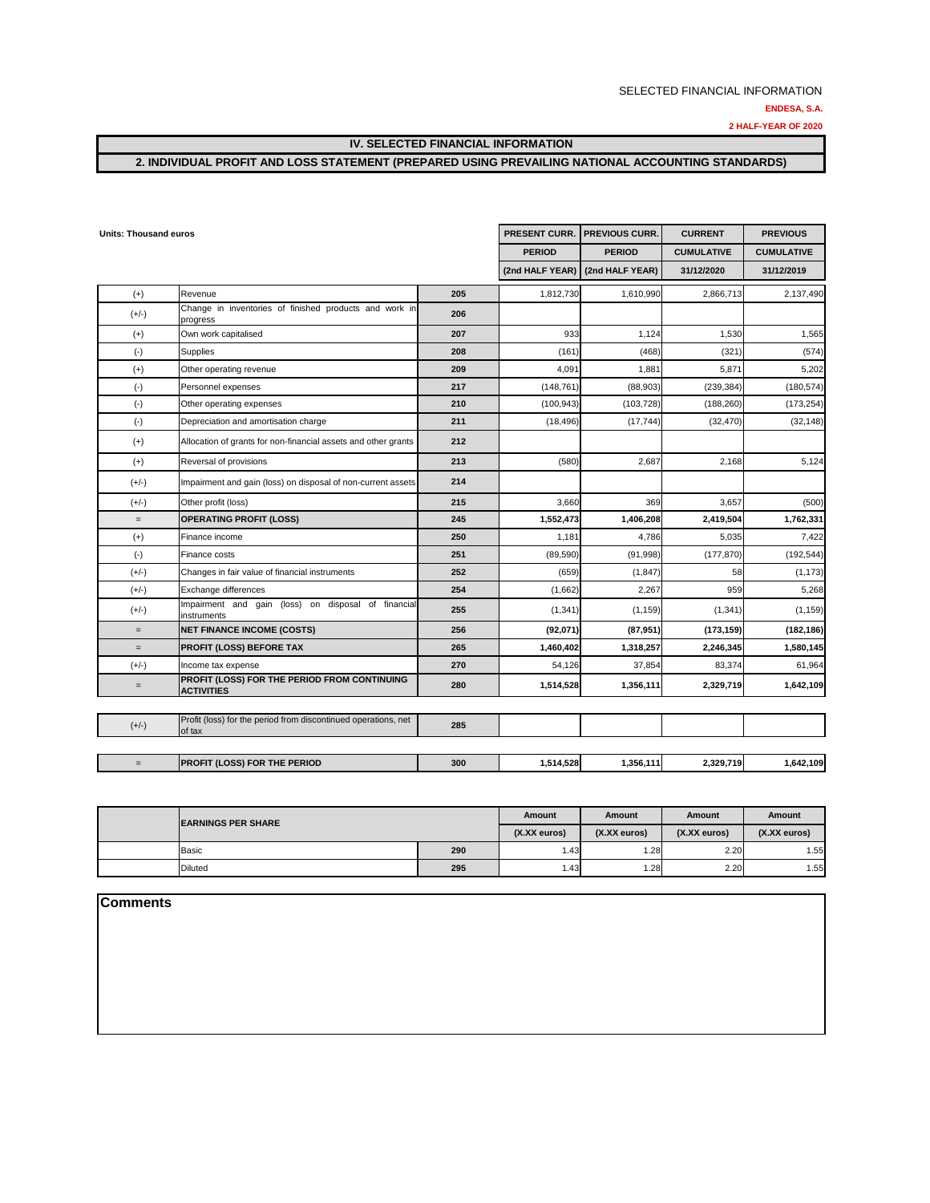**2 HALF-YEAR OF 2020**

#### **IV. SELECTED FINANCIAL INFORMATION**

## **2. INDIVIDUAL PROFIT AND LOSS STATEMENT (PREPARED USING PREVAILING NATIONAL ACCOUNTING STANDARDS)**

| <b>Units: Thousand euros</b> |                                                                          |     | PRESENT CURR.   | <b>PREVIOUS CURR.</b> | <b>CURRENT</b>    | <b>PREVIOUS</b>   |
|------------------------------|--------------------------------------------------------------------------|-----|-----------------|-----------------------|-------------------|-------------------|
|                              |                                                                          |     | <b>PERIOD</b>   | <b>PERIOD</b>         | <b>CUMULATIVE</b> | <b>CUMULATIVE</b> |
|                              |                                                                          |     | (2nd HALF YEAR) | (2nd HALF YEAR)       | 31/12/2020        | 31/12/2019        |
| $(+)$                        | Revenue                                                                  | 205 | 1,812,730       | 1,610,990             | 2,866,713         | 2,137,490         |
| $(+/-)$                      | Change in inventories of finished products and work in<br>progress       | 206 |                 |                       |                   |                   |
| $(+)$                        | Own work capitalised                                                     | 207 | 933             | 1.124                 | 1,530             | 1,565             |
| $(-)$                        | Supplies                                                                 | 208 | (161)           | (468)                 | (321)             | (574)             |
| $(+)$                        | Other operating revenue                                                  | 209 | 4,091           | 1,881                 | 5,871             | 5,202             |
| $(-)$                        | Personnel expenses                                                       | 217 | (148, 761)      | (88,903)              | (239, 384)        | (180, 574)        |
| $(-)$                        | Other operating expenses                                                 | 210 | (100, 943)      | (103, 728)            | (188, 260)        | (173, 254)        |
| $(-)$                        | Depreciation and amortisation charge                                     | 211 | (18, 496)       | (17, 744)             | (32, 470)         | (32, 148)         |
| $(+)$                        | Allocation of grants for non-financial assets and other grants           | 212 |                 |                       |                   |                   |
| $(+)$                        | Reversal of provisions                                                   | 213 | (580)           | 2,687                 | 2,168             | 5,124             |
| $(+/-)$                      | Impairment and gain (loss) on disposal of non-current assets             | 214 |                 |                       |                   |                   |
| $(+/-)$                      | Other profit (loss)                                                      | 215 | 3,660           | 369                   | 3,657             | (500)             |
| $\equiv$                     | <b>OPERATING PROFIT (LOSS)</b>                                           | 245 | 1,552,473       | 1,406,208             | 2,419,504         | 1,762,331         |
| $(+)$                        | Finance income                                                           | 250 | 1,181           | 4,786                 | 5,035             | 7,422             |
| $(-)$                        | Finance costs                                                            | 251 | (89, 590)       | (91, 998)             | (177, 870)        | (192, 544)        |
| $(+/-)$                      | Changes in fair value of financial instruments                           | 252 | (659)           | (1, 847)              | 58                | (1, 173)          |
| $(+/-)$                      | Exchange differences                                                     | 254 | (1,662)         | 2,267                 | 959               | 5,268             |
| $(+/-)$                      | Impairment and gain (loss) on disposal of financial<br>instruments       | 255 | (1, 341)        | (1, 159)              | (1, 341)          | (1, 159)          |
| $=$                          | <b>NET FINANCE INCOME (COSTS)</b>                                        | 256 | (92,071)        | (87, 951)             | (173, 159)        | (182, 186)        |
| $\qquad \qquad =$            | <b>PROFIT (LOSS) BEFORE TAX</b>                                          | 265 | 1,460,402       | 1,318,257             | 2,246,345         | 1,580,145         |
| $(+/-)$                      | Income tax expense                                                       | 270 | 54,126          | 37,854                | 83,374            | 61,964            |
| $=$                          | PROFIT (LOSS) FOR THE PERIOD FROM CONTINUING<br><b>ACTIVITIES</b>        | 280 | 1,514,528       | 1,356,111             | 2,329,719         | 1,642,109         |
|                              |                                                                          |     |                 |                       |                   |                   |
| $(+/-)$                      | Profit (loss) for the period from discontinued operations, net<br>of tax | 285 |                 |                       |                   |                   |
| $=$                          | PROFIT (LOSS) FOR THE PERIOD                                             | 300 | 1,514,528       | 1,356,111             | 2,329,719         | 1,642,109         |
|                              |                                                                          |     |                 |                       |                   |                   |

| <b>IEARNINGS PER SHARE</b> |     | Amount          | <b>Amount</b>   | <b>Amount</b>   | Amount          |
|----------------------------|-----|-----------------|-----------------|-----------------|-----------------|
|                            |     | $(X.XX)$ euros) | $(X,XX)$ euros) | $(X.XX)$ euros) | $(X,XX)$ euros) |
| <b>Basic</b>               | 290 | .43             | .28             | 2.20            | .55             |
| <b>Diluted</b>             | 295 | .43             | .28             | 2.20            | .55             |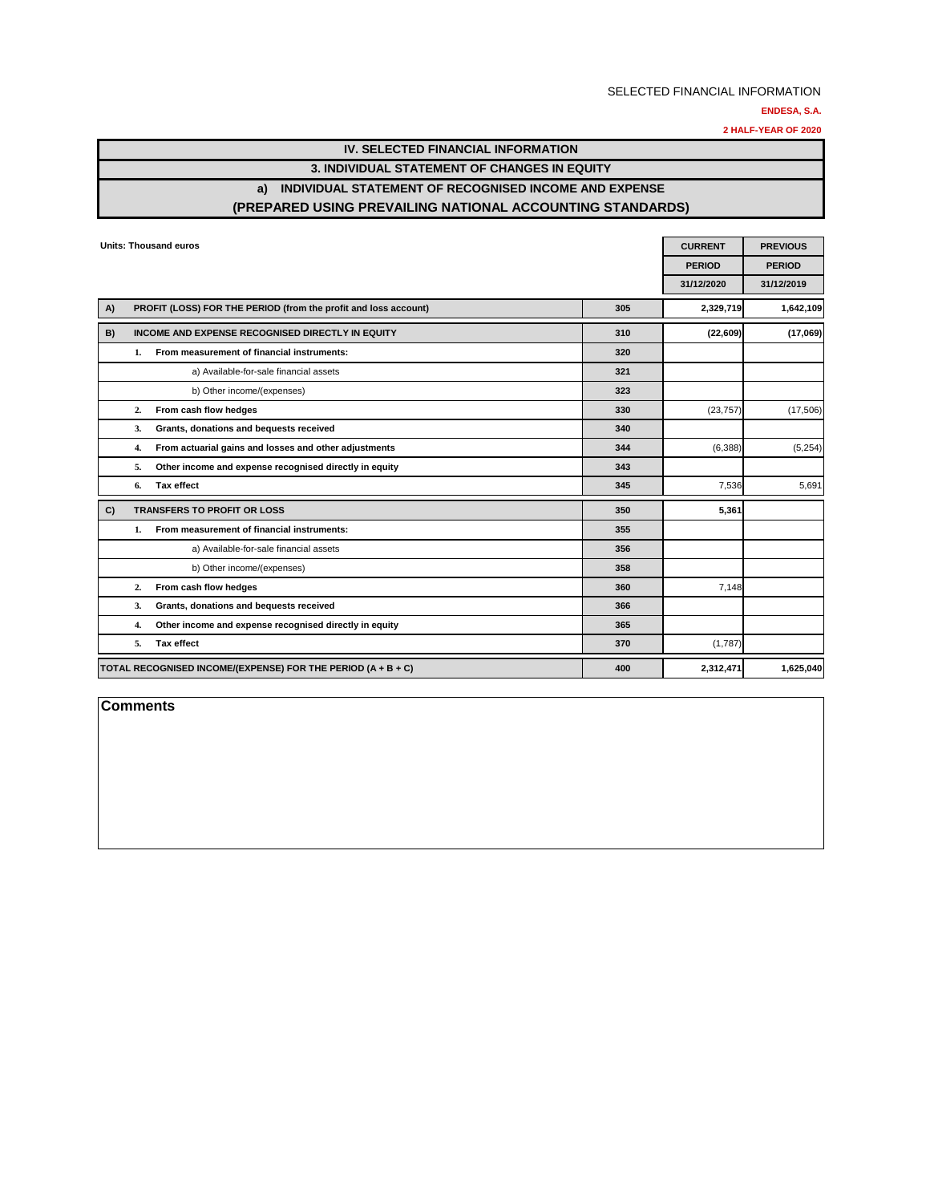**ENDESA, S.A.**

**2 HALF-YEAR OF 2020**

| IV. SELECTED FINANCIAL INFORMATION                        |
|-----------------------------------------------------------|
| 3. INDIVIDUAL STATEMENT OF CHANGES IN EQUITY              |
| a) INDIVIDUAL STATEMENT OF RECOGNISED INCOME AND EXPENSE  |
| (PREPARED USING PREVAILING NATIONAL ACCOUNTING STANDARDS) |

|    |    | Units: Thousand euros                                           |     | <b>CURRENT</b> | <b>PREVIOUS</b> |
|----|----|-----------------------------------------------------------------|-----|----------------|-----------------|
|    |    |                                                                 |     | <b>PERIOD</b>  | <b>PERIOD</b>   |
|    |    |                                                                 |     | 31/12/2020     | 31/12/2019      |
| A) |    | PROFIT (LOSS) FOR THE PERIOD (from the profit and loss account) | 305 | 2,329,719      | 1,642,109       |
| B) |    | INCOME AND EXPENSE RECOGNISED DIRECTLY IN EQUITY                | 310 | (22,609)       | (17,069)        |
|    | 1. | From measurement of financial instruments:                      | 320 |                |                 |
|    |    | a) Available-for-sale financial assets                          | 321 |                |                 |
|    |    | b) Other income/(expenses)                                      | 323 |                |                 |
|    | 2. | From cash flow hedges                                           | 330 | (23, 757)      | (17,506)        |
|    | 3. | Grants, donations and bequests received                         | 340 |                |                 |
|    | 4. | From actuarial gains and losses and other adjustments           | 344 | (6,388)        | (5, 254)        |
|    | 5. | Other income and expense recognised directly in equity          | 343 |                |                 |
|    | 6. | <b>Tax effect</b>                                               | 345 | 7,536          | 5,691           |
| C) |    | <b>TRANSFERS TO PROFIT OR LOSS</b>                              | 350 | 5.361          |                 |
|    | 1. | From measurement of financial instruments:                      | 355 |                |                 |
|    |    | a) Available-for-sale financial assets                          | 356 |                |                 |
|    |    | b) Other income/(expenses)                                      | 358 |                |                 |
|    | 2. | From cash flow hedges                                           | 360 | 7,148          |                 |
|    | 3. | Grants, donations and bequests received                         | 366 |                |                 |
|    | 4. | Other income and expense recognised directly in equity          | 365 |                |                 |
|    | 5. | <b>Tax effect</b>                                               | 370 | (1,787)        |                 |
|    |    | TOTAL RECOGNISED INCOME/(EXPENSE) FOR THE PERIOD (A + B + C)    | 400 | 2,312,471      | 1,625,040       |

**Comments**

╞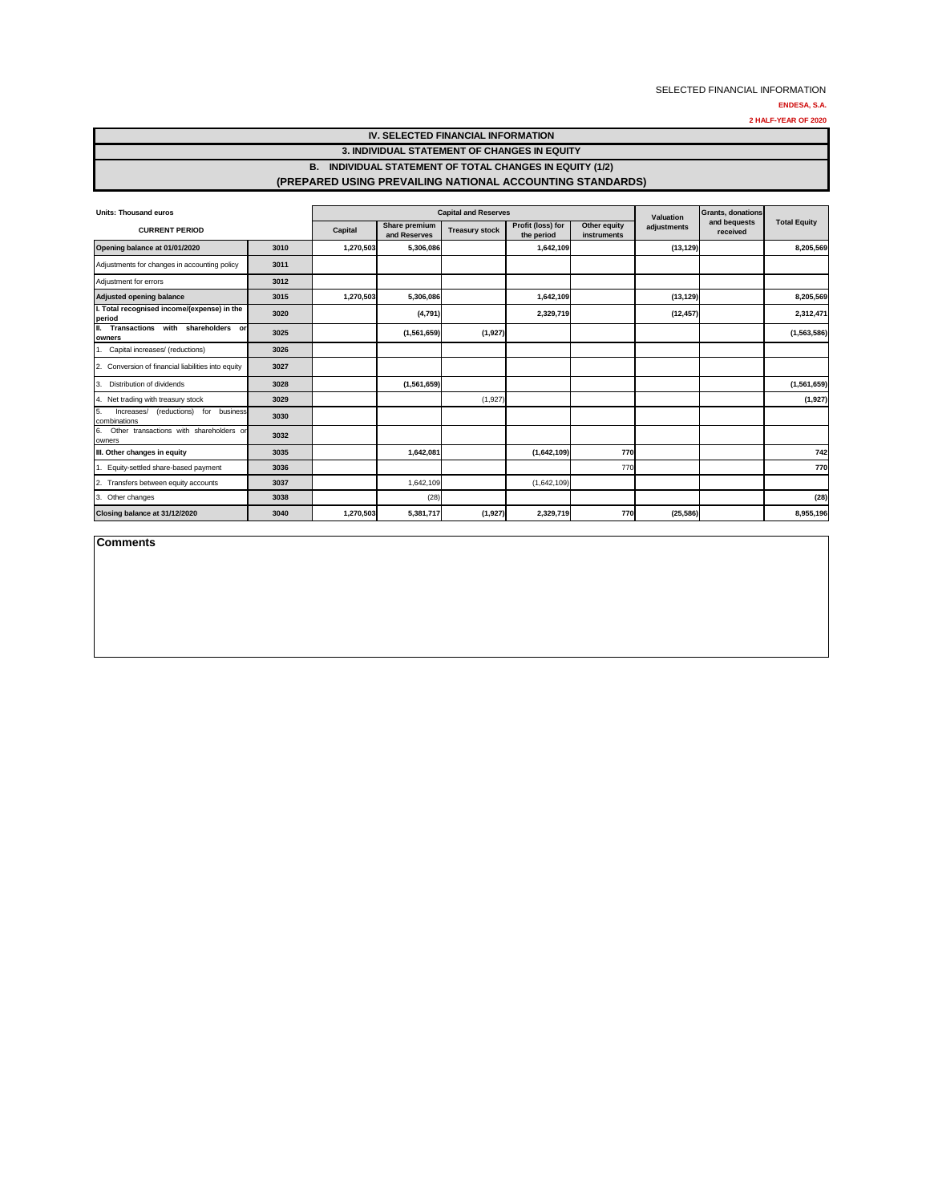**2 HALF-YEAR OF 2020**

## **IV. SELECTED FINANCIAL INFORMATION 3. INDIVIDUAL STATEMENT OF CHANGES IN EQUITY B. INDIVIDUAL STATEMENT OF TOTAL CHANGES IN EQUITY (1/2)**

#### **(PREPARED USING PREVAILING NATIONAL ACCOUNTING STANDARDS)**

| <b>Units: Thousand euros</b>                            |      | <b>Capital and Reserves</b> |                               |                       |                                 |                             | Valuation   | <b>Grants, donations</b> |                     |
|---------------------------------------------------------|------|-----------------------------|-------------------------------|-----------------------|---------------------------------|-----------------------------|-------------|--------------------------|---------------------|
| <b>CURRENT PERIOD</b>                                   |      | Capital                     | Share premium<br>and Reserves | <b>Treasury stock</b> | Profit (loss) for<br>the period | Other equity<br>instruments | adjustments | and bequests<br>received | <b>Total Equity</b> |
| Opening balance at 01/01/2020                           | 3010 | 1,270,503                   | 5,306,086                     |                       | 1,642,109                       |                             | (13, 129)   |                          | 8,205,569           |
| Adjustments for changes in accounting policy            | 3011 |                             |                               |                       |                                 |                             |             |                          |                     |
| Adjustment for errors                                   | 3012 |                             |                               |                       |                                 |                             |             |                          |                     |
| <b>Adjusted opening balance</b>                         | 3015 | 1,270,503                   | 5,306,086                     |                       | 1,642,109                       |                             | (13, 129)   |                          | 8,205,569           |
| I. Total recognised income/(expense) in the<br>period   | 3020 |                             | (4,791)                       |                       | 2,329,719                       |                             | (12, 457)   |                          | 2,312,471           |
| Transactions with shareholders or<br>owners             | 3025 |                             | (1,561,659)                   | (1,927)               |                                 |                             |             |                          | (1,563,586)         |
| Capital increases/ (reductions)                         | 3026 |                             |                               |                       |                                 |                             |             |                          |                     |
| Conversion of financial liabilities into equity         | 3027 |                             |                               |                       |                                 |                             |             |                          |                     |
| Distribution of dividends<br>3                          | 3028 |                             | (1,561,659)                   |                       |                                 |                             |             |                          | (1,561,659)         |
| Net trading with treasury stock<br>4.                   | 3029 |                             |                               | (1,927)               |                                 |                             |             |                          | (1,927)             |
| (reductions) for business<br>Increases/<br>combinations | 3030 |                             |                               |                       |                                 |                             |             |                          |                     |
| Other transactions with shareholders or<br>6.<br>owners | 3032 |                             |                               |                       |                                 |                             |             |                          |                     |
| III. Other changes in equity                            | 3035 |                             | 1,642,081                     |                       | (1,642,109)                     | 770                         |             |                          | 742                 |
| Equity-settled share-based payment                      | 3036 |                             |                               |                       |                                 | 770                         |             |                          | 770                 |
| Transfers between equity accounts<br>$\overline{2}$     | 3037 |                             | 1,642,109                     |                       | (1,642,109)                     |                             |             |                          |                     |
| Other changes<br>3.                                     | 3038 |                             | (28)                          |                       |                                 |                             |             |                          | (28)                |
| Closing balance at 31/12/2020                           | 3040 | 1,270,503                   | 5,381,717                     | (1, 927)              | 2,329,719                       | 770                         | (25, 586)   |                          | 8,955,196           |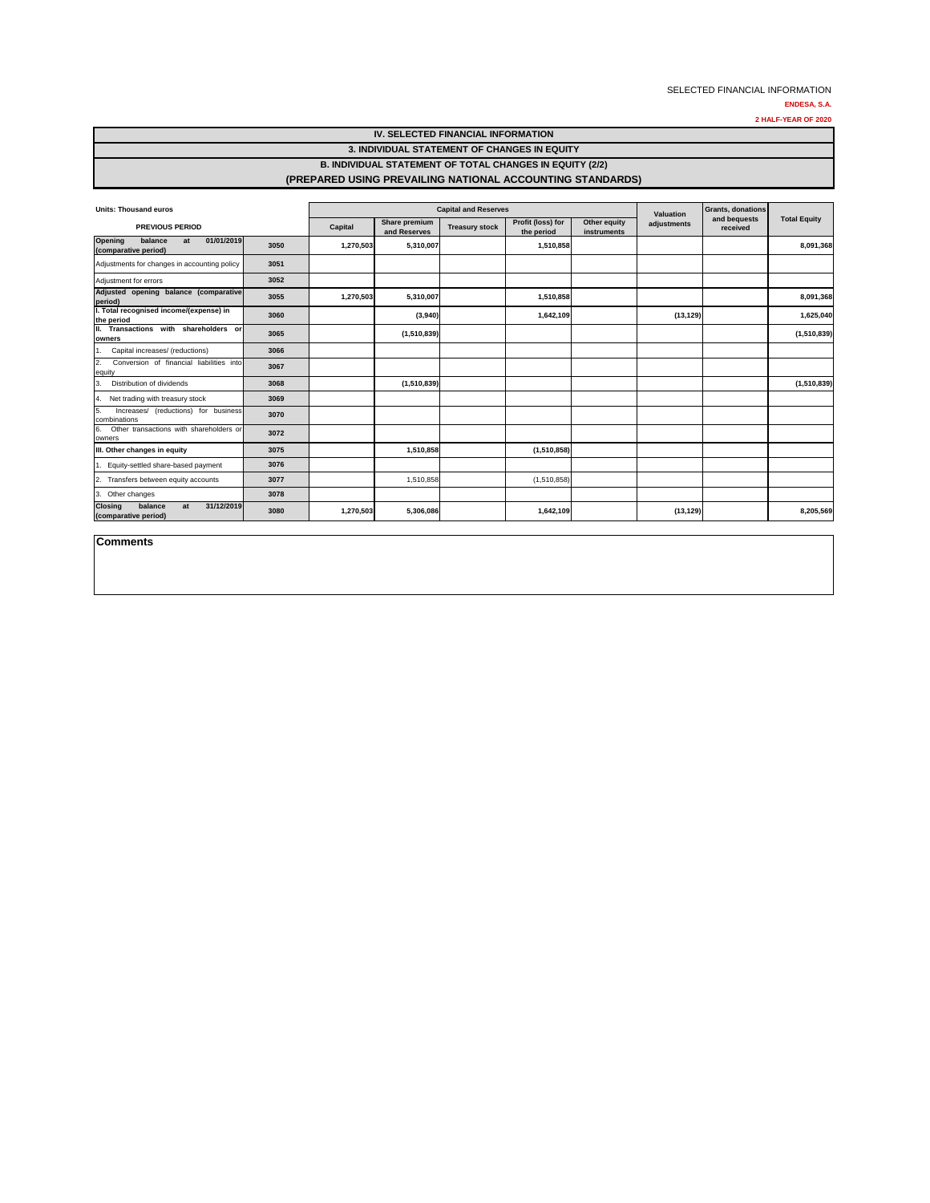**2 HALF-YEAR OF 2020**

| <b>IV. SELECTED FINANCIAL INFORMATION</b>                       |
|-----------------------------------------------------------------|
| 3. INDIVIDUAL STATEMENT OF CHANGES IN EQUITY                    |
| <b>B. INDIVIDUAL STATEMENT OF TOTAL CHANGES IN EQUITY (2/2)</b> |
| (PREPARED USING PREVAILING NATIONAL ACCOUNTING STANDARDS)       |

| <b>Units: Thousand euros</b>                                          |      | <b>Capital and Reserves</b> |                               |                       |                                 |                             | Valuation   | <b>Grants, donations</b> |                     |
|-----------------------------------------------------------------------|------|-----------------------------|-------------------------------|-----------------------|---------------------------------|-----------------------------|-------------|--------------------------|---------------------|
| <b>PREVIOUS PERIOD</b>                                                |      | Capital                     | Share premium<br>and Reserves | <b>Treasury stock</b> | Profit (loss) for<br>the period | Other equity<br>instruments | adjustments | and bequests<br>received | <b>Total Equity</b> |
| 01/01/2019<br><b>Opening</b><br>balance<br>at<br>(comparative period) | 3050 | 1,270,503                   | 5,310,007                     |                       | 1,510,858                       |                             |             |                          | 8,091,368           |
| Adjustments for changes in accounting policy                          | 3051 |                             |                               |                       |                                 |                             |             |                          |                     |
| Adjustment for errors                                                 | 3052 |                             |                               |                       |                                 |                             |             |                          |                     |
| Adjusted opening balance (comparative<br>period)                      | 3055 | 1,270,503                   | 5,310,007                     |                       | 1,510,858                       |                             |             |                          | 8,091,368           |
| I. Total recognised income/(expense) in<br>the period                 | 3060 |                             | (3,940)                       |                       | 1,642,109                       |                             | (13, 129)   |                          | 1,625,040           |
| II. Transactions with shareholders or<br>owners                       | 3065 |                             | (1,510,839)                   |                       |                                 |                             |             |                          | (1,510,839)         |
| Capital increases/ (reductions)<br>1.                                 | 3066 |                             |                               |                       |                                 |                             |             |                          |                     |
| 2.<br>Conversion of financial liabilities into<br>equity              | 3067 |                             |                               |                       |                                 |                             |             |                          |                     |
| Distribution of dividends<br>3.                                       | 3068 |                             | (1,510,839)                   |                       |                                 |                             |             |                          | (1,510,839)         |
| Net trading with treasury stock<br>4.                                 | 3069 |                             |                               |                       |                                 |                             |             |                          |                     |
| Increases/ (reductions) for business<br>5.<br>combinations            | 3070 |                             |                               |                       |                                 |                             |             |                          |                     |
| Other transactions with shareholders or<br>6.<br>owners               | 3072 |                             |                               |                       |                                 |                             |             |                          |                     |
| III. Other changes in equity                                          | 3075 |                             | 1.510.858                     |                       | (1,510,858)                     |                             |             |                          |                     |
| 1. Equity-settled share-based payment                                 | 3076 |                             |                               |                       |                                 |                             |             |                          |                     |
| 2. Transfers between equity accounts                                  | 3077 |                             | 1,510,858                     |                       | (1,510,858)                     |                             |             |                          |                     |
| 3. Other changes                                                      | 3078 |                             |                               |                       |                                 |                             |             |                          |                     |
| 31/12/2019<br>balance<br><b>Closing</b><br>at<br>(comparative period) | 3080 | 1,270,503                   | 5,306,086                     |                       | 1,642,109                       |                             | (13, 129)   |                          | 8,205,569           |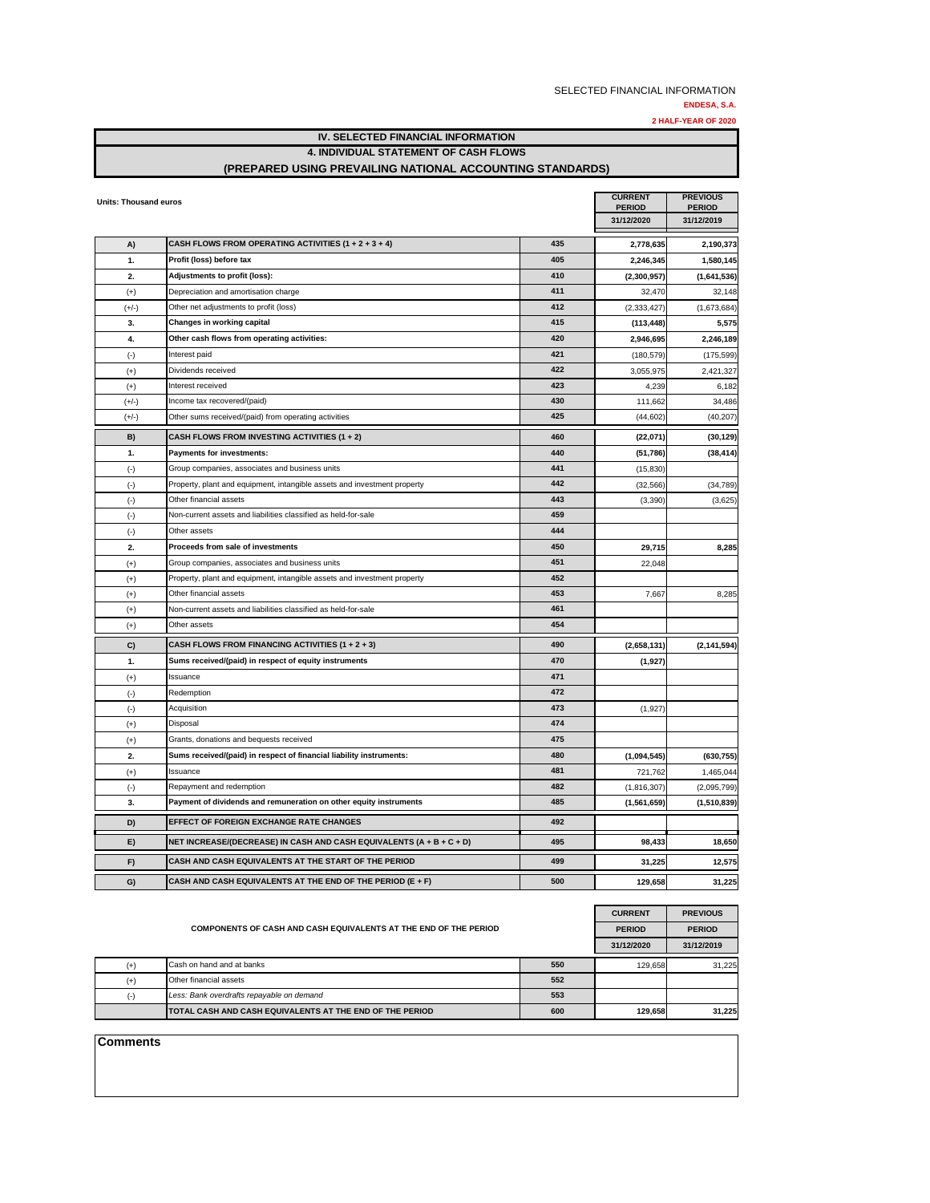**ENDESA, S.A.**

**2 HALF-YEAR OF 2020**

|         | IV. SELECTED FINANCIAL INFORMATION                        |     |               |               |  |  |  |
|---------|-----------------------------------------------------------|-----|---------------|---------------|--|--|--|
|         | <b>4. INDIVIDUAL STATEMENT OF CASH FLOWS</b>              |     |               |               |  |  |  |
|         | (PREPARED USING PREVAILING NATIONAL ACCOUNTING STANDARDS) |     |               |               |  |  |  |
|         |                                                           |     |               |               |  |  |  |
|         | Units: Thousand euros                                     |     |               |               |  |  |  |
|         |                                                           |     | <b>PERIOD</b> | <b>PERIOD</b> |  |  |  |
|         |                                                           |     | 31/12/2020    | 31/12/2019    |  |  |  |
|         |                                                           |     |               |               |  |  |  |
| A)      | CASH FLOWS FROM OPERATING ACTIVITIES (1 + 2 + 3 + 4)      | 435 | 2,778,635     | 2,190,373     |  |  |  |
| 1.      | Profit (loss) before tax                                  | 405 | 2,246,345     | 1,580,145     |  |  |  |
| 2.      | Adjustments to profit (loss):                             | 410 | (2,300,957)   | (1,641,536)   |  |  |  |
| $(+)$   | Depreciation and amortisation charge                      | 411 | 32,470        | 32.148        |  |  |  |
| $(+/-)$ | Other net adjustments to profit (loss)                    | 412 | (2,333,427)   | (1,673,684)   |  |  |  |
| 3.      | Changes in working capital                                | 415 | (113, 448)    | 5,575         |  |  |  |
| 4.      | Other cash flows from operating activities:               | 420 | 2,946,695     | 2,246,189     |  |  |  |
|         |                                                           |     |               |               |  |  |  |

| ٦.        | FIUIII (1055) DEIUIE IAA                                                 | 40J | Z,Z40,J4J     | 1,000,143     |
|-----------|--------------------------------------------------------------------------|-----|---------------|---------------|
| 2.        | Adjustments to profit (loss):                                            | 410 | (2,300,957)   | (1,641,536)   |
| $^{(+)}$  | Depreciation and amortisation charge                                     | 411 | 32,470        | 32,148        |
| $(+/-)$   | Other net adjustments to profit (loss)                                   | 412 | (2, 333, 427) | (1,673,684)   |
| 3.        | Changes in working capital                                               | 415 | (113, 448)    | 5,575         |
| 4.        | Other cash flows from operating activities:                              | 420 | 2,946,695     | 2,246,189     |
| $(\cdot)$ | Interest paid                                                            | 421 | (180, 579)    | (175, 599)    |
| $(+)$     | Dividends received                                                       | 422 | 3,055,975     | 2,421,327     |
| $(+)$     | Interest received                                                        | 423 | 4,239         | 6,182         |
| $(+/-)$   | Income tax recovered/(paid)                                              | 430 | 111,662       | 34,486        |
| $(+/-)$   | Other sums received/(paid) from operating activities                     | 425 | (44, 602)     | (40, 207)     |
| B)        | CASH FLOWS FROM INVESTING ACTIVITIES (1 + 2)                             | 460 | (22,071)      | (30, 129)     |
| 1.        | <b>Payments for investments:</b>                                         | 440 | (51, 786)     | (38, 414)     |
| $(\cdot)$ | Group companies, associates and business units                           | 441 | (15, 830)     |               |
| $(\cdot)$ | Property, plant and equipment, intangible assets and investment property | 442 | (32, 566)     | (34, 789)     |
| $(\cdot)$ | Other financial assets                                                   | 443 | (3,390)       | (3,625)       |
| $(-)$     | Non-current assets and liabilities classified as held-for-sale           | 459 |               |               |
| $(-)$     | Other assets                                                             | 444 |               |               |
| 2.        | Proceeds from sale of investments                                        | 450 | 29,715        | 8,285         |
| $(+)$     | Group companies, associates and business units                           | 451 | 22,048        |               |
| $^{(+)}$  | Property, plant and equipment, intangible assets and investment property | 452 |               |               |
| $^{(+)}$  | Other financial assets                                                   | 453 | 7,667         | 8,285         |
| $^{(+)}$  | Non-current assets and liabilities classified as held-for-sale           | 461 |               |               |
| $^{(+)}$  | Other assets                                                             | 454 |               |               |
| C)        | CASH FLOWS FROM FINANCING ACTIVITIES (1 + 2 + 3)                         | 490 | (2,658,131)   | (2, 141, 594) |
| 1.        | Sums received/(paid) in respect of equity instruments                    | 470 | (1, 927)      |               |
| $(+)$     | Issuance                                                                 | 471 |               |               |
| $(-)$     | Redemption                                                               | 472 |               |               |
| $(\cdot)$ | Acquisition                                                              | 473 | (1,927)       |               |
| $(+)$     | Disposal                                                                 | 474 |               |               |
| $^{(+)}$  | Grants, donations and bequests received                                  | 475 |               |               |
| 2.        | Sums received/(paid) in respect of financial liability instruments:      | 480 | (1,094,545)   | (630, 755)    |
| $^{(+)}$  | Issuance                                                                 | 481 | 721,762       | 1,465,044     |
| $(\cdot)$ | Repayment and redemption                                                 | 482 | (1,816,307)   | (2,095,799)   |
| 3.        | Payment of dividends and remuneration on other equity instruments        | 485 | (1,561,659)   | (1,510,839)   |
| D)        | EFFECT OF FOREIGN EXCHANGE RATE CHANGES                                  | 492 |               |               |
| E)        | NET INCREASE/(DECREASE) IN CASH AND CASH EQUIVALENTS (A + B + C + D)     | 495 | 98,433        | 18,650        |
|           |                                                                          |     |               |               |
| F)        | CASH AND CASH EQUIVALENTS AT THE START OF THE PERIOD                     | 499 | 31,225        | 12,575        |

|          | <b>COMPONENTS OF CASH AND CASH EQUIVALENTS AT THE END OF THE PERIOD</b> |     |            |            |  |  |  |  |
|----------|-------------------------------------------------------------------------|-----|------------|------------|--|--|--|--|
|          |                                                                         |     | 31/12/2020 | 31/12/2019 |  |  |  |  |
| $^{(+)}$ | Cash on hand and at banks                                               | 550 | 129.658    | 31.225     |  |  |  |  |
| $(+)$    | Other financial assets                                                  | 552 |            |            |  |  |  |  |
| $(-)$    | Less: Bank overdrafts repayable on demand                               | 553 |            |            |  |  |  |  |
|          | <b>ITOTAL CASH AND CASH EQUIVALENTS AT THE END OF THE PERIOD</b>        | 600 | 129.658    | 31.225     |  |  |  |  |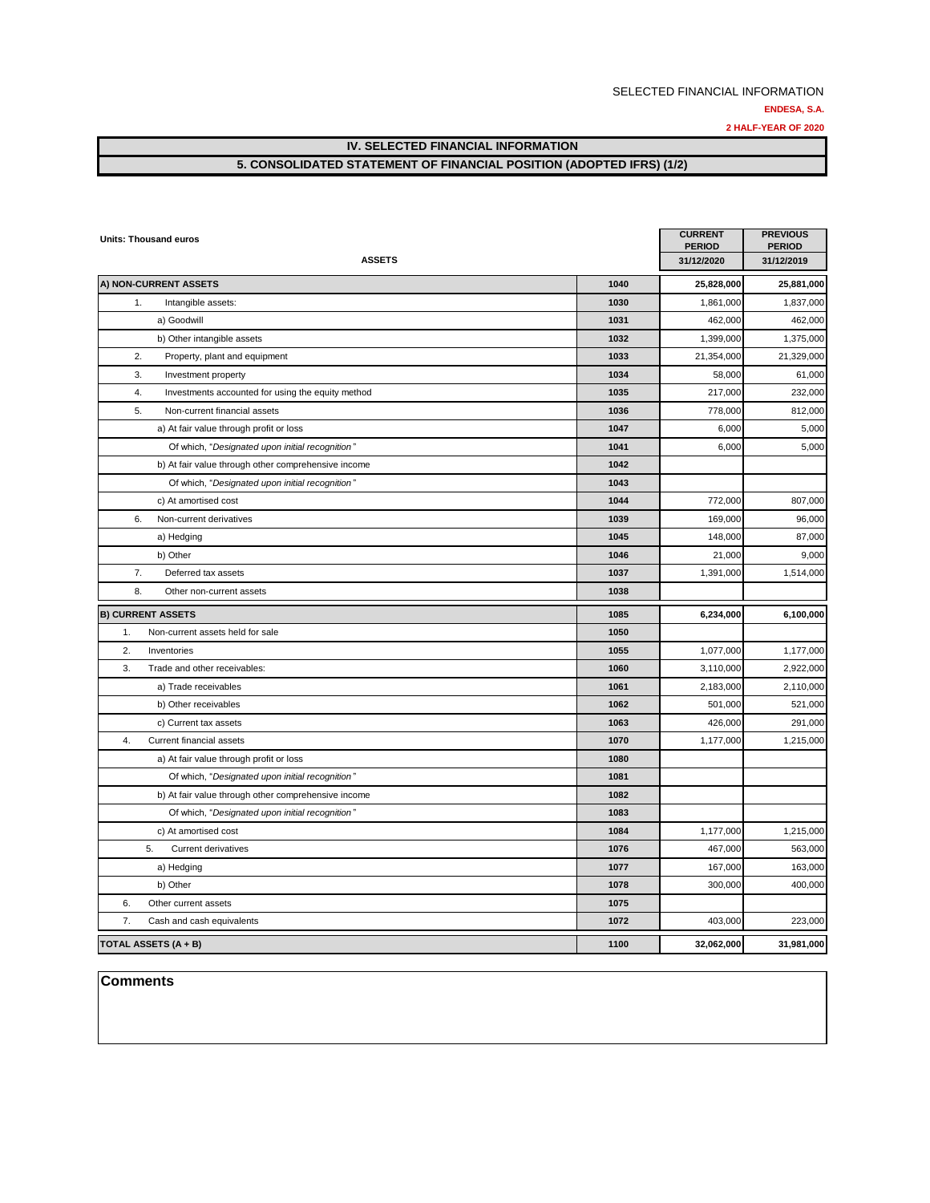**2 HALF-YEAR OF 2020**

## **IV. SELECTED FINANCIAL INFORMATION 5. CONSOLIDATED STATEMENT OF FINANCIAL POSITION (ADOPTED IFRS) (1/2)**

| <b>Units: Thousand euros</b>                            |      | <b>CURRENT</b><br><b>PERIOD</b> | <b>PREVIOUS</b><br><b>PERIOD</b> |
|---------------------------------------------------------|------|---------------------------------|----------------------------------|
| <b>ASSETS</b>                                           |      | 31/12/2020                      | 31/12/2019                       |
| A) NON-CURRENT ASSETS                                   | 1040 | 25,828,000                      | 25,881,000                       |
| 1.<br>Intangible assets:                                | 1030 | 1,861,000                       | 1,837,000                        |
| a) Goodwill                                             | 1031 | 462,000                         | 462,000                          |
| b) Other intangible assets                              | 1032 | 1,399,000                       | 1,375,000                        |
| 2.<br>Property, plant and equipment                     | 1033 | 21,354,000                      | 21,329,000                       |
| 3.<br>Investment property                               | 1034 | 58,000                          | 61,000                           |
| 4.<br>Investments accounted for using the equity method | 1035 | 217,000                         | 232,000                          |
| 5.<br>Non-current financial assets                      | 1036 | 778,000                         | 812,000                          |
| a) At fair value through profit or loss                 | 1047 | 6,000                           | 5,000                            |
| Of which, "Designated upon initial recognition"         | 1041 | 6,000                           | 5,000                            |
| b) At fair value through other comprehensive income     | 1042 |                                 |                                  |
| Of which, "Designated upon initial recognition"         | 1043 |                                 |                                  |
| c) At amortised cost                                    | 1044 | 772,000                         | 807,000                          |
| 6.<br>Non-current derivatives                           | 1039 | 169,000                         | 96,000                           |
| a) Hedging                                              | 1045 | 148,000                         | 87,000                           |
| b) Other                                                | 1046 | 21,000                          | 9,000                            |
| 7.<br>Deferred tax assets                               | 1037 | 1,391,000                       | 1,514,000                        |
| 8.<br>Other non-current assets                          | 1038 |                                 |                                  |
| <b>B) CURRENT ASSETS</b>                                | 1085 | 6,234,000                       | 6,100,000                        |
| 1.<br>Non-current assets held for sale                  | 1050 |                                 |                                  |
| 2.<br>Inventories                                       | 1055 | 1,077,000                       | 1,177,000                        |
| 3.<br>Trade and other receivables:                      | 1060 | 3,110,000                       | 2,922,000                        |
| a) Trade receivables                                    | 1061 | 2,183,000                       | 2,110,000                        |
| b) Other receivables                                    | 1062 | 501,000                         | 521,000                          |
| c) Current tax assets                                   | 1063 | 426,000                         | 291,000                          |
| 4.<br>Current financial assets                          | 1070 | 1,177,000                       | 1,215,000                        |
| a) At fair value through profit or loss                 | 1080 |                                 |                                  |
| Of which, "Designated upon initial recognition"         | 1081 |                                 |                                  |
| b) At fair value through other comprehensive income     | 1082 |                                 |                                  |
| Of which, "Designated upon initial recognition"         | 1083 |                                 |                                  |
| c) At amortised cost                                    | 1084 | 1,177,000                       | 1,215,000                        |
| 5.<br><b>Current derivatives</b>                        | 1076 | 467,000                         | 563,000                          |
| a) Hedging                                              | 1077 | 167,000                         | 163,000                          |
| b) Other                                                | 1078 | 300,000                         | 400,000                          |
| 6.<br>Other current assets                              | 1075 |                                 |                                  |
| 7.<br>Cash and cash equivalents                         | 1072 | 403,000                         | 223,000                          |
| <b>TOTAL ASSETS (A + B)</b>                             | 1100 | 32,062,000                      | 31,981,000                       |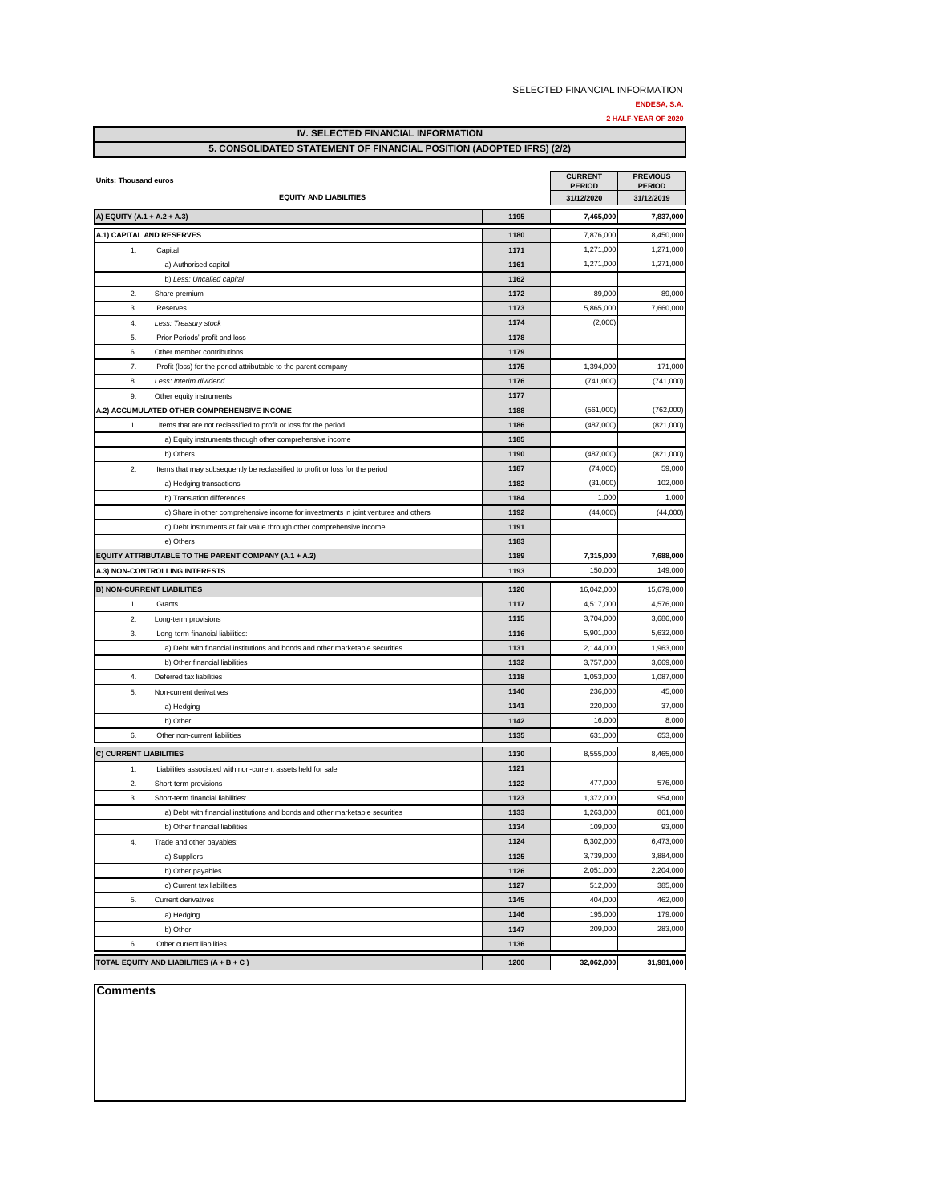|                                                                                                   |              | SELECTED FINANCIAL INFORMATION |                     |
|---------------------------------------------------------------------------------------------------|--------------|--------------------------------|---------------------|
|                                                                                                   |              |                                | ENDESA, S.A.        |
|                                                                                                   |              |                                | 2 HALF-YEAR OF 2020 |
| <b>IV. SELECTED FINANCIAL INFORMATION</b>                                                         |              |                                |                     |
| 5. CONSOLIDATED STATEMENT OF FINANCIAL POSITION (ADOPTED IFRS) (2/2)                              |              |                                |                     |
|                                                                                                   |              | <b>CURRENT</b>                 | <b>PREVIOUS</b>     |
| <b>Units: Thousand euros</b>                                                                      |              | <b>PERIOD</b>                  | <b>PERIOD</b>       |
| <b>EQUITY AND LIABILITIES</b>                                                                     |              | 31/12/2020                     | 31/12/2019          |
| A) EQUITY (A.1 + A.2 + A.3)                                                                       | 1195         | 7,465,000                      | 7,837,000           |
| A.1) CAPITAL AND RESERVES                                                                         | 1180         | 7,876,000                      | 8,450,000           |
| Capital<br>1.                                                                                     | 1171         | 1,271,000                      | 1,271,000           |
| a) Authorised capital                                                                             | 1161         | 1,271,000                      | 1,271,000           |
| b) Less: Uncalled capital                                                                         | 1162         |                                |                     |
| $\mathfrak{D}$<br>Share premium                                                                   | 1172         | 89,000                         | 89,000              |
| 3.<br>Reserves                                                                                    | 1173         | 5,865,000                      | 7,660,000           |
| 4.<br>Less: Treasury stock                                                                        | 1174         | (2,000)                        |                     |
| Prior Periods' profit and loss<br>5.                                                              | 1178         |                                |                     |
| 6.<br>Other member contributions                                                                  | 1179         |                                |                     |
| 7 <sub>1</sub><br>Profit (loss) for the period attributable to the parent company                 | 1175         | 1,394,000                      | 171,000             |
| Less: Interim dividend<br>8.                                                                      | 1176         | (741,000)                      | (741,000)           |
| 9.<br>Other equity instruments                                                                    | 1177         |                                |                     |
| A.2) ACCUMULATED OTHER COMPREHENSIVE INCOME                                                       | 1188         | (561,000)                      | (762,000)           |
| 1.<br>Items that are not reclassified to profit or loss for the period                            | 1186         | (487,000)                      | (821,000)           |
| a) Equity instruments through other comprehensive income                                          | 1185         |                                |                     |
| b) Others                                                                                         | 1190         | (487,000)                      | (821,000)           |
| $\mathfrak{D}$<br>Items that may subsequently be reclassified to profit or loss for the period    | 1187         | (74,000)                       | 59,000              |
| a) Hedging transactions                                                                           | 1182         | (31,000)                       | 102,000             |
| b) Translation differences                                                                        | 1184         | 1,000                          | 1,000               |
| c) Share in other comprehensive income for investments in joint ventures and others               | 1192         | (44,000)                       | (44,000)            |
| d) Debt instruments at fair value through other comprehensive income                              | 1191         |                                |                     |
| e) Others<br>EQUITY ATTRIBUTABLE TO THE PARENT COMPANY (A.1 + A.2)                                | 1183<br>1189 | 7,315,000                      | 7,688,000           |
| <b>A.3) NON-CONTROLLING INTERESTS</b>                                                             | 1193         | 150,000                        | 149,000             |
|                                                                                                   |              |                                |                     |
| <b>B) NON-CURRENT LIABILITIES</b>                                                                 | 1120         | 16,042,000                     | 15,679,000          |
| 1.<br>Grants                                                                                      | 1117         | 4,517,000                      | 4,576,000           |
| 2.<br>Long-term provisions                                                                        | 1115         | 3,704,000                      | 3,686,000           |
| Long-term financial liabilities:<br>3.                                                            | 1116         | 5,901,000                      | 5,632,000           |
| a) Debt with financial institutions and bonds and other marketable securities                     | 1131         | 2,144,000                      | 1,963,000           |
| b) Other financial liabilities                                                                    | 1132<br>1118 | 3,757,000                      | 3,669,000           |
| 4.<br>Deferred tax liabilities<br>5.<br>Non-current derivatives                                   | 1140         | 1,053,000<br>236,000           | 1,087,000           |
|                                                                                                   |              | 220,000                        | 45,000<br>37,000    |
| a) Hedging<br>b) Other                                                                            | 1141<br>1142 | 16,000                         | 8,000               |
| 6.<br>Other non-current liabilities                                                               | 1135         | 631,000                        | 653,000             |
|                                                                                                   |              |                                |                     |
| C) CURRENT LIABILITIES                                                                            | 1130         | 8,555,000                      | 8,465,000           |
| 1.<br>Liabilities associated with non-current assets held for sale<br>2.<br>Short-term provisions | 1121<br>1122 | 477,000                        | 576,000             |
| Short-term financial liabilities:                                                                 | 1123         | 1,372,000                      | 954,000             |
| 3.<br>a) Debt with financial institutions and bonds and other marketable securities               | 1133         | 1,263,000                      | 861,000             |
| b) Other financial liabilities                                                                    | 1134         | 109,000                        | 93,000              |
| 4.<br>Trade and other payables:                                                                   | 1124         | 6,302,000                      | 6,473,000           |
| a) Suppliers                                                                                      | 1125         | 3,739,000                      | 3,884,000           |

b) Other payables **1126** 2,051,000 2,204,000 c) Current tax liabilities **1127** 512,000 385,000 5. Current derivatives **1145** 404,000 462,000 a) Hedging **1146** 195,000 179,000 b) Other **1147** 209,000 283,000

**TOTAL EQUITY AND LIABILITIES (A + B + C ) 1200 32,062,000 31,981,000**

6. Other current liabilities **1136**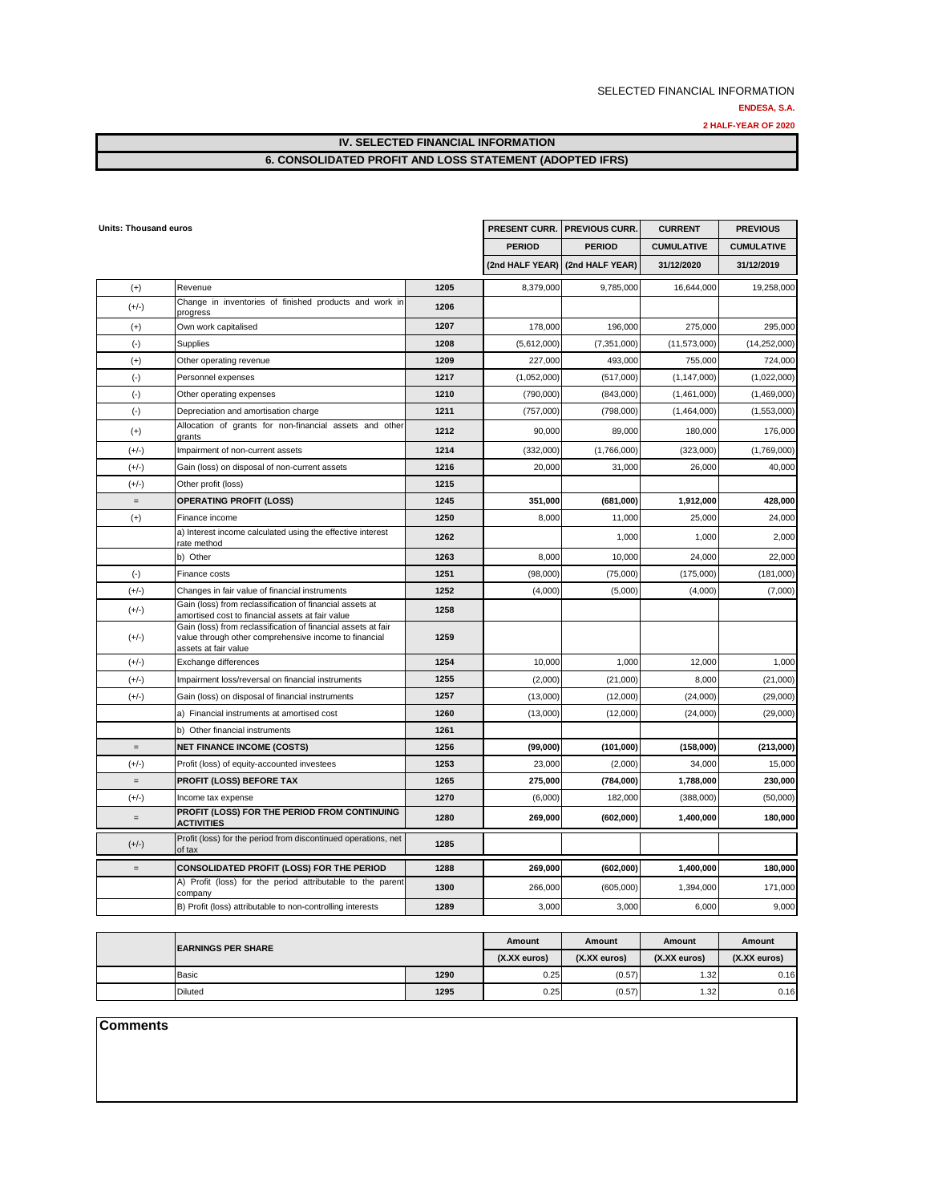#### **ENDESA, S.A.**

**2 HALF-YEAR OF 2020**

**IV. SELECTED FINANCIAL INFORMATION**

## **6. CONSOLIDATED PROFIT AND LOSS STATEMENT (ADOPTED IFRS)**

| <b>Units: Thousand euros</b>      |                                                                                                                                                |      | PRESENT CURR.   | <b>PREVIOUS CURR.</b> | <b>CURRENT</b>    | <b>PREVIOUS</b>   |
|-----------------------------------|------------------------------------------------------------------------------------------------------------------------------------------------|------|-----------------|-----------------------|-------------------|-------------------|
|                                   |                                                                                                                                                |      | <b>PERIOD</b>   | <b>PERIOD</b>         | <b>CUMULATIVE</b> | <b>CUMULATIVE</b> |
|                                   |                                                                                                                                                |      | (2nd HALF YEAR) | (2nd HALF YEAR)       | 31/12/2020        | 31/12/2019        |
| $(+)$                             | Revenue                                                                                                                                        | 1205 | 8,379,000       | 9,785,000             | 16,644,000        | 19,258,000        |
| $(+/-)$                           | Change in inventories of finished products and work in<br>progress                                                                             | 1206 |                 |                       |                   |                   |
| $^{(+)}$                          | Own work capitalised                                                                                                                           | 1207 | 178,000         | 196,000               | 275,000           | 295.000           |
| $(\cdot)$                         | Supplies                                                                                                                                       | 1208 | (5,612,000)     | (7, 351, 000)         | (11, 573, 000)    | (14, 252, 000)    |
| $(+)$                             | Other operating revenue                                                                                                                        | 1209 | 227,000         | 493,000               | 755,000           | 724,000           |
| $(-)$                             | Personnel expenses                                                                                                                             | 1217 | (1,052,000)     | (517,000)             | (1, 147, 000)     | (1,022,000)       |
| $(\cdot)$                         | Other operating expenses                                                                                                                       | 1210 | (790,000)       | (843,000)             | (1,461,000)       | (1,469,000)       |
| $(-)$                             | Depreciation and amortisation charge                                                                                                           | 1211 | (757,000)       | (798,000)             | (1,464,000)       | (1,553,000)       |
| $(+)$                             | Allocation of grants for non-financial assets and other<br>grants                                                                              | 1212 | 90,000          | 89,000                | 180,000           | 176,000           |
| $(+/-)$                           | Impairment of non-current assets                                                                                                               | 1214 | (332,000)       | (1,766,000)           | (323,000)         | (1,769,000)       |
| $(+/-)$                           | Gain (loss) on disposal of non-current assets                                                                                                  | 1216 | 20,000          | 31,000                | 26,000            | 40,000            |
| $(+/-)$                           | Other profit (loss)                                                                                                                            | 1215 |                 |                       |                   |                   |
| $\equiv$                          | <b>OPERATING PROFIT (LOSS)</b>                                                                                                                 | 1245 | 351,000         | (681,000)             | 1,912,000         | 428,000           |
| $^{(+)}$                          | Finance income                                                                                                                                 | 1250 | 8,000           | 11,000                | 25,000            | 24,000            |
|                                   | a) Interest income calculated using the effective interest<br>rate method                                                                      | 1262 |                 | 1,000                 | 1,000             | 2,000             |
|                                   | b) Other                                                                                                                                       | 1263 | 8,000           | 10,000                | 24,000            | 22,000            |
| $(\cdot)$                         | Finance costs                                                                                                                                  | 1251 | (98,000)        | (75,000)              | (175,000)         | (181,000)         |
| $(+/-)$                           | Changes in fair value of financial instruments                                                                                                 | 1252 | (4,000)         | (5,000)               | (4,000)           | (7,000)           |
| $(+/-)$                           | Gain (loss) from reclassification of financial assets at<br>amortised cost to financial assets at fair value                                   | 1258 |                 |                       |                   |                   |
| $(+/-)$                           | Gain (loss) from reclassification of financial assets at fair<br>value through other comprehensive income to financial<br>assets at fair value | 1259 |                 |                       |                   |                   |
| $(+/-)$                           | Exchange differences                                                                                                                           | 1254 | 10.000          | 1,000                 | 12,000            | 1,000             |
| $(+/-)$                           | Impairment loss/reversal on financial instruments                                                                                              | 1255 | (2,000)         | (21,000)              | 8,000             | (21,000)          |
| $(+/-)$                           | Gain (loss) on disposal of financial instruments                                                                                               | 1257 | (13,000)        | (12,000)              | (24,000)          | (29,000)          |
|                                   | a) Financial instruments at amortised cost                                                                                                     | 1260 | (13,000)        | (12,000)              | (24,000)          | (29,000)          |
|                                   | b) Other financial instruments                                                                                                                 | 1261 |                 |                       |                   |                   |
| $\qquad \qquad =$                 | <b>NET FINANCE INCOME (COSTS)</b>                                                                                                              | 1256 | (99,000)        | (101,000)             | (158,000)         | (213,000)         |
| $(+/-)$                           | Profit (loss) of equity-accounted investees                                                                                                    | 1253 | 23,000          | (2,000)               | 34,000            | 15,000            |
| $\qquad \qquad =$                 | PROFIT (LOSS) BEFORE TAX                                                                                                                       | 1265 | 275,000         | (784,000)             | 1,788,000         | 230,000           |
| $(+/-)$                           | Income tax expense                                                                                                                             | 1270 | (6,000)         | 182,000               | (388,000)         | (50,000)          |
| $\hspace{1.6cm} = \hspace{1.6cm}$ | PROFIT (LOSS) FOR THE PERIOD FROM CONTINUING<br><b>ACTIVITIES</b>                                                                              | 1280 | 269,000         | (602,000)             | 1,400,000         | 180,000           |
| $(+/-)$                           | Profit (loss) for the period from discontinued operations, net<br>of tax                                                                       | 1285 |                 |                       |                   |                   |
| $=$                               | CONSOLIDATED PROFIT (LOSS) FOR THE PERIOD                                                                                                      | 1288 | 269,000         | (602,000)             | 1,400,000         | 180,000           |
|                                   | A) Profit (loss) for the period attributable to the parent<br>company                                                                          | 1300 | 266,000         | (605,000)             | 1,394,000         | 171,000           |
|                                   | B) Profit (loss) attributable to non-controlling interests                                                                                     | 1289 | 3,000           | 3,000                 | 6,000             | 9,000             |

|  | <b>EARNINGS PER SHARE</b> |      | Amount       | Amount       | Amount       | Amount       |
|--|---------------------------|------|--------------|--------------|--------------|--------------|
|  |                           |      | (X.XX euros) | (X.XX euros) | (X.XX euros) | (X.XX euros) |
|  | Basic                     | 1290 | 0.25         | (0.57)       | 1.32         | 0.16         |
|  | <b>Diluted</b>            | 1295 | 0.25         | (0.57)       | 1.32         | 0.16         |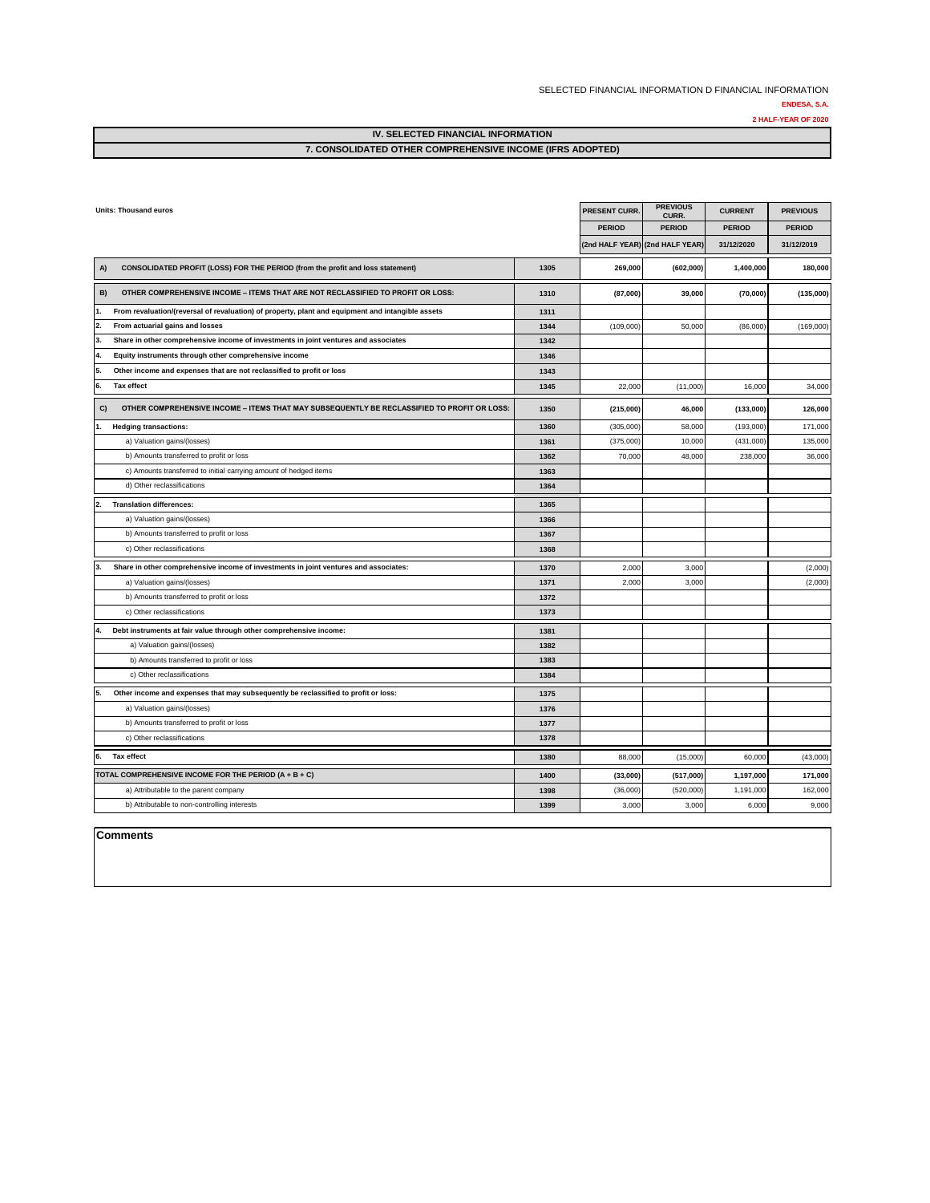#### SELECTED FINANCIAL INFORMATION D FINANCIAL INFORMATION **ENDESA, S.A.**

**2 HALF-YEAR OF 2020**

**IV. SELECTED FINANCIAL INFORMATION**

#### **7. CONSOLIDATED OTHER COMPREHENSIVE INCOME (IFRS ADOPTED)**

|    | <b>Units: Thousand euros</b>                                                                      |      | <b>PRESENT CURR.</b>            | <b>PREVIOUS</b><br>CURR. | <b>CURRENT</b> | <b>PREVIOUS</b> |
|----|---------------------------------------------------------------------------------------------------|------|---------------------------------|--------------------------|----------------|-----------------|
|    |                                                                                                   |      | <b>PERIOD</b>                   | <b>PERIOD</b>            | <b>PERIOD</b>  | <b>PERIOD</b>   |
|    |                                                                                                   |      | (2nd HALF YEAR) (2nd HALF YEAR) |                          | 31/12/2020     | 31/12/2019      |
| A) | CONSOLIDATED PROFIT (LOSS) FOR THE PERIOD (from the profit and loss statement)                    | 1305 | 269,000                         | (602,000)                | 1,400,000      | 180,000         |
| B) | OTHER COMPREHENSIVE INCOME - ITEMS THAT ARE NOT RECLASSIFIED TO PROFIT OR LOSS:                   | 1310 | (87,000)                        | 39,000                   | (70,000)       | (135,000)       |
| 1. | From revaluation/(reversal of revaluation) of property, plant and equipment and intangible assets | 1311 |                                 |                          |                |                 |
| 2. | From actuarial gains and losses                                                                   | 1344 | (109,000)                       | 50,000                   | (86,000)       | (169,000)       |
| 3. | Share in other comprehensive income of investments in joint ventures and associates               | 1342 |                                 |                          |                |                 |
| 4. | Equity instruments through other comprehensive income                                             | 1346 |                                 |                          |                |                 |
| 5. | Other income and expenses that are not reclassified to profit or loss                             | 1343 |                                 |                          |                |                 |
| 6. | Tax effect                                                                                        | 1345 | 22,000                          | (11,000)                 | 16,000         | 34,000          |
| C) | OTHER COMPREHENSIVE INCOME - ITEMS THAT MAY SUBSEQUENTLY BE RECLASSIFIED TO PROFIT OR LOSS:       | 1350 | (215,000)                       | 46,000                   | (133,000)      | 126,000         |
| 1. | <b>Hedging transactions:</b>                                                                      | 1360 | (305,000)                       | 58,000                   | (193,000)      | 171,000         |
|    | a) Valuation gains/(losses)                                                                       | 1361 | (375,000)                       | 10,000                   | (431,000)      | 135,000         |
|    | b) Amounts transferred to profit or loss                                                          | 1362 | 70,000                          | 48,000                   | 238,000        | 36,000          |
|    | c) Amounts transferred to initial carrying amount of hedged items                                 | 1363 |                                 |                          |                |                 |
|    | d) Other reclassifications                                                                        | 1364 |                                 |                          |                |                 |
| 2. | <b>Translation differences:</b>                                                                   | 1365 |                                 |                          |                |                 |
|    | a) Valuation gains/(losses)                                                                       | 1366 |                                 |                          |                |                 |
|    | b) Amounts transferred to profit or loss                                                          | 1367 |                                 |                          |                |                 |
|    | c) Other reclassifications                                                                        | 1368 |                                 |                          |                |                 |
| 3. | Share in other comprehensive income of investments in joint ventures and associates:              | 1370 | 2,000                           | 3,000                    |                | (2,000)         |
|    | a) Valuation gains/(losses)                                                                       | 1371 | 2,000                           | 3,000                    |                | (2,000)         |
|    | b) Amounts transferred to profit or loss                                                          | 1372 |                                 |                          |                |                 |
|    | c) Other reclassifications                                                                        | 1373 |                                 |                          |                |                 |
| 4. | Debt instruments at fair value through other comprehensive income:                                | 1381 |                                 |                          |                |                 |
|    | a) Valuation gains/(losses)                                                                       | 1382 |                                 |                          |                |                 |
|    | b) Amounts transferred to profit or loss                                                          | 1383 |                                 |                          |                |                 |
|    | c) Other reclassifications                                                                        | 1384 |                                 |                          |                |                 |
| 5. | Other income and expenses that may subsequently be reclassified to profit or loss:                | 1375 |                                 |                          |                |                 |
|    | a) Valuation gains/(losses)                                                                       | 1376 |                                 |                          |                |                 |
|    | b) Amounts transferred to profit or loss                                                          | 1377 |                                 |                          |                |                 |
|    | c) Other reclassifications                                                                        | 1378 |                                 |                          |                |                 |
| 6. | <b>Tax effect</b>                                                                                 | 1380 | 88,000                          | (15,000)                 | 60,000         | (43,000)        |
|    | TOTAL COMPREHENSIVE INCOME FOR THE PERIOD (A + B + C)                                             | 1400 | (33,000)                        | (517,000)                | 1,197,000      | 171,000         |
|    | a) Attributable to the parent company                                                             | 1398 | (36,000)                        | (520,000)                | 1,191,000      | 162,000         |
|    | b) Attributable to non-controlling interests                                                      | 1399 | 3,000                           | 3,000                    | 6,000          | 9,000           |
|    |                                                                                                   |      |                                 |                          |                |                 |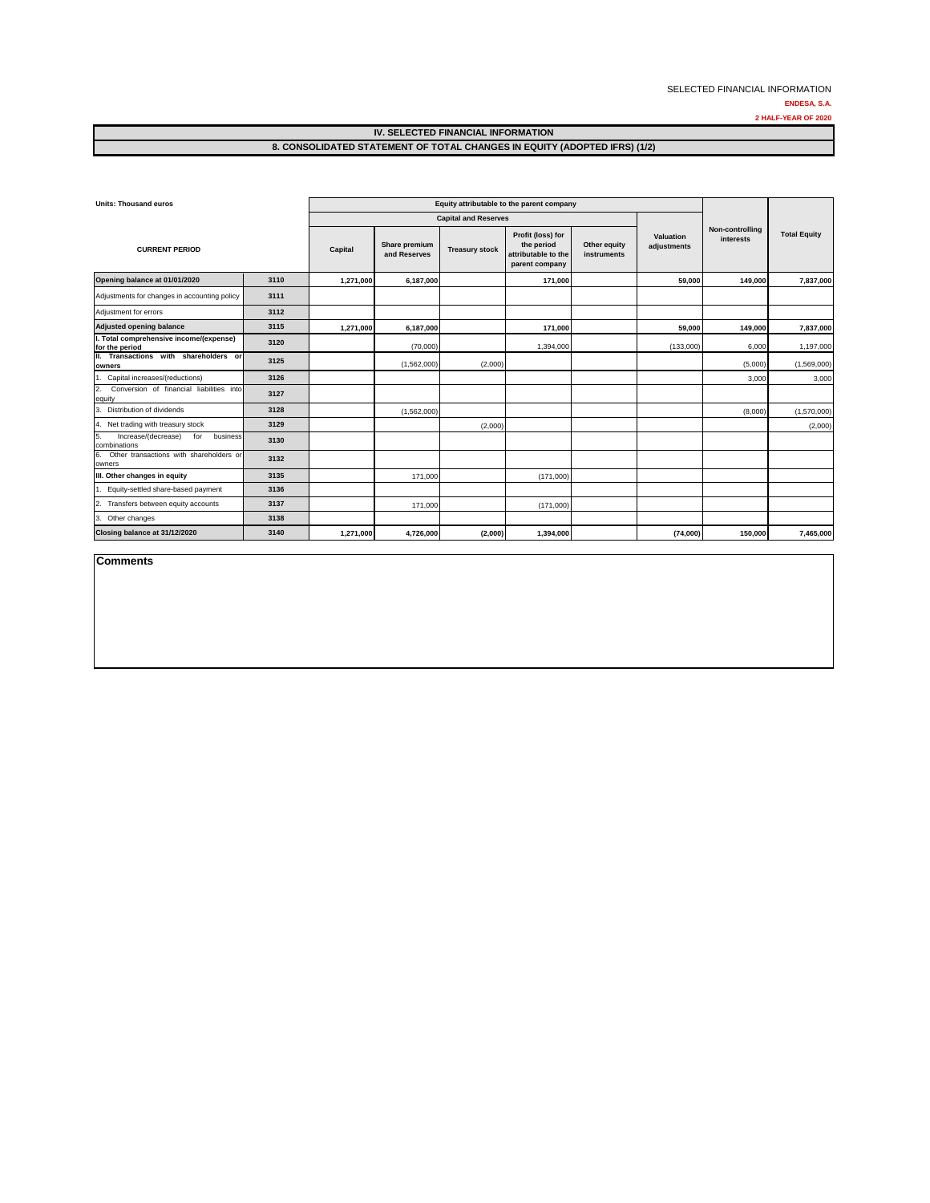**2 HALF-YEAR OF 2020**

#### **IV. SELECTED FINANCIAL INFORMATION 8. CONSOLIDATED STATEMENT OF TOTAL CHANGES IN EQUITY (ADOPTED IFRS) (1/2)**

| <b>Units: Thousand euros</b>                                 |      | Equity attributable to the parent company |                               |                             |                                                                          |                             |                          |                              |                     |
|--------------------------------------------------------------|------|-------------------------------------------|-------------------------------|-----------------------------|--------------------------------------------------------------------------|-----------------------------|--------------------------|------------------------------|---------------------|
|                                                              |      |                                           |                               | <b>Capital and Reserves</b> |                                                                          |                             |                          |                              |                     |
| <b>CURRENT PERIOD</b>                                        |      | Capital                                   | Share premium<br>and Reserves | <b>Treasury stock</b>       | Profit (loss) for<br>the period<br>attributable to the<br>parent company | Other equity<br>instruments | Valuation<br>adjustments | Non-controlling<br>interests | <b>Total Equity</b> |
| Opening balance at 01/01/2020                                | 3110 | 1.271.000                                 | 6.187.000                     |                             | 171.000                                                                  |                             | 59.000                   | 149.000                      | 7,837,000           |
| Adjustments for changes in accounting policy                 | 3111 |                                           |                               |                             |                                                                          |                             |                          |                              |                     |
| Adjustment for errors                                        | 3112 |                                           |                               |                             |                                                                          |                             |                          |                              |                     |
| <b>Adjusted opening balance</b>                              | 3115 | 1,271,000                                 | 6,187,000                     |                             | 171,000                                                                  |                             | 59,000                   | 149,000                      | 7,837,000           |
| I. Total comprehensive income/(expense)<br>for the period    | 3120 |                                           | (70,000)                      |                             | 1,394,000                                                                |                             | (133.000)                | 6,000                        | 1,197,000           |
| II. Transactions with shareholders or<br>owners              | 3125 |                                           | (1,562,000)                   | (2,000)                     |                                                                          |                             |                          | (5,000)                      | (1,569,000)         |
| 1. Capital increases/(reductions)                            | 3126 |                                           |                               |                             |                                                                          |                             |                          | 3,000                        | 3,000               |
| 2.<br>Conversion of financial liabilities into<br>equity     | 3127 |                                           |                               |                             |                                                                          |                             |                          |                              |                     |
| 3. Distribution of dividends                                 | 3128 |                                           | (1,562,000)                   |                             |                                                                          |                             |                          | (8,000)                      | (1,570,000)         |
| 4. Net trading with treasury stock                           | 3129 |                                           |                               | (2,000)                     |                                                                          |                             |                          |                              | (2,000)             |
| 5.<br>Increase/(decrease)<br>business<br>for<br>combinations | 3130 |                                           |                               |                             |                                                                          |                             |                          |                              |                     |
| Other transactions with shareholders or<br>6.<br>owners      | 3132 |                                           |                               |                             |                                                                          |                             |                          |                              |                     |
| III. Other changes in equity                                 | 3135 |                                           | 171,000                       |                             | (171,000)                                                                |                             |                          |                              |                     |
| 1. Equity-settled share-based payment                        | 3136 |                                           |                               |                             |                                                                          |                             |                          |                              |                     |
| 2. Transfers between equity accounts                         | 3137 |                                           | 171,000                       |                             | (171,000)                                                                |                             |                          |                              |                     |
| 3. Other changes                                             | 3138 |                                           |                               |                             |                                                                          |                             |                          |                              |                     |
| Closing balance at 31/12/2020                                | 3140 | 1,271,000                                 | 4,726,000                     | (2,000)                     | 1,394,000                                                                |                             | (74,000)                 | 150,000                      | 7,465,000           |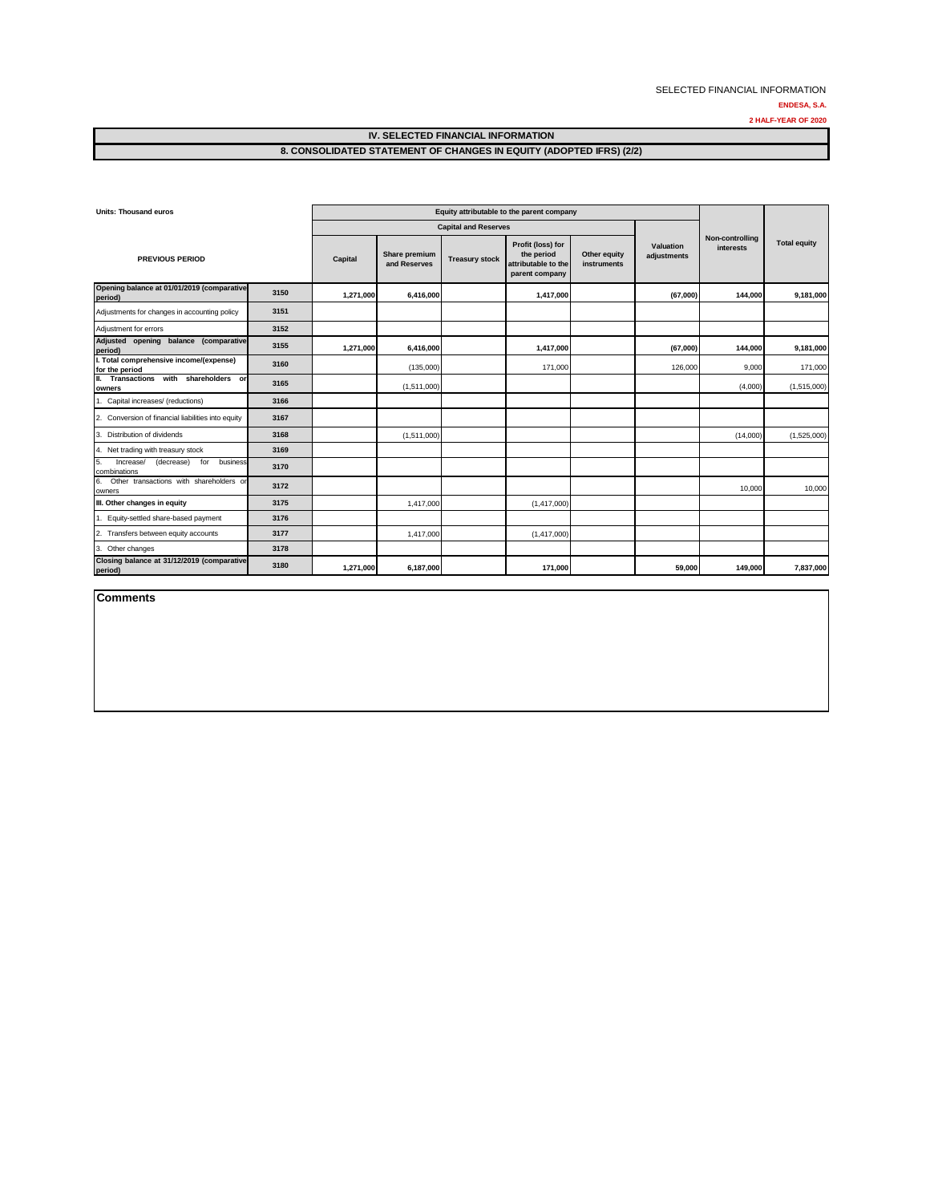**2 HALF-YEAR OF 2020**

#### **IV. SELECTED FINANCIAL INFORMATION 8. CONSOLIDATED STATEMENT OF CHANGES IN EQUITY (ADOPTED IFRS) (2/2)**

| <b>Units: Thousand euros</b>                                     |      | Equity attributable to the parent company |                               |                       |                                                                          |                             |                          |                              |                     |
|------------------------------------------------------------------|------|-------------------------------------------|-------------------------------|-----------------------|--------------------------------------------------------------------------|-----------------------------|--------------------------|------------------------------|---------------------|
|                                                                  |      | <b>Capital and Reserves</b>               |                               |                       |                                                                          |                             |                          |                              |                     |
| <b>PREVIOUS PERIOD</b>                                           |      | Capital                                   | Share premium<br>and Reserves | <b>Treasury stock</b> | Profit (loss) for<br>the period<br>attributable to the<br>parent company | Other equity<br>instruments | Valuation<br>adjustments | Non-controlling<br>interests | <b>Total equity</b> |
| Opening balance at 01/01/2019 (comparative<br>period)            | 3150 | 1.271.000                                 | 6,416,000                     |                       | 1,417,000                                                                |                             | (67,000)                 | 144,000                      | 9,181,000           |
| Adjustments for changes in accounting policy                     | 3151 |                                           |                               |                       |                                                                          |                             |                          |                              |                     |
| Adjustment for errors                                            | 3152 |                                           |                               |                       |                                                                          |                             |                          |                              |                     |
| Adjusted opening balance (comparative<br>period)                 | 3155 | 1,271,000                                 | 6,416,000                     |                       | 1,417,000                                                                |                             | (67,000)                 | 144.000                      | 9,181,000           |
| I. Total comprehensive income/(expense)<br>for the period        | 3160 |                                           | (135,000)                     |                       | 171,000                                                                  |                             | 126,000                  | 9.000                        | 171,000             |
| Transactions with shareholders or<br>II.<br>owners               | 3165 |                                           | (1,511,000)                   |                       |                                                                          |                             |                          | (4,000)                      | (1,515,000)         |
| 1. Capital increases/ (reductions)                               | 3166 |                                           |                               |                       |                                                                          |                             |                          |                              |                     |
| 2. Conversion of financial liabilities into equity               | 3167 |                                           |                               |                       |                                                                          |                             |                          |                              |                     |
| Distribution of dividends<br>3.                                  | 3168 |                                           | (1,511,000)                   |                       |                                                                          |                             |                          | (14,000)                     | (1,525,000)         |
| 4. Net trading with treasury stock                               | 3169 |                                           |                               |                       |                                                                          |                             |                          |                              |                     |
| Increase/<br>(decrease)<br>5.<br>for<br>business<br>combinations | 3170 |                                           |                               |                       |                                                                          |                             |                          |                              |                     |
| Other transactions with shareholders or<br>6.<br>owners          | 3172 |                                           |                               |                       |                                                                          |                             |                          | 10,000                       | 10,000              |
| III. Other changes in equity                                     | 3175 |                                           | 1,417,000                     |                       | (1,417,000)                                                              |                             |                          |                              |                     |
| 1. Equity-settled share-based payment                            | 3176 |                                           |                               |                       |                                                                          |                             |                          |                              |                     |
| 2. Transfers between equity accounts                             | 3177 |                                           | 1.417.000                     |                       | (1,417,000)                                                              |                             |                          |                              |                     |
| 3. Other changes                                                 | 3178 |                                           |                               |                       |                                                                          |                             |                          |                              |                     |
| Closing balance at 31/12/2019 (comparative<br>period)            | 3180 | 1,271,000                                 | 6,187,000                     |                       | 171,000                                                                  |                             | 59,000                   | 149,000                      | 7,837,000           |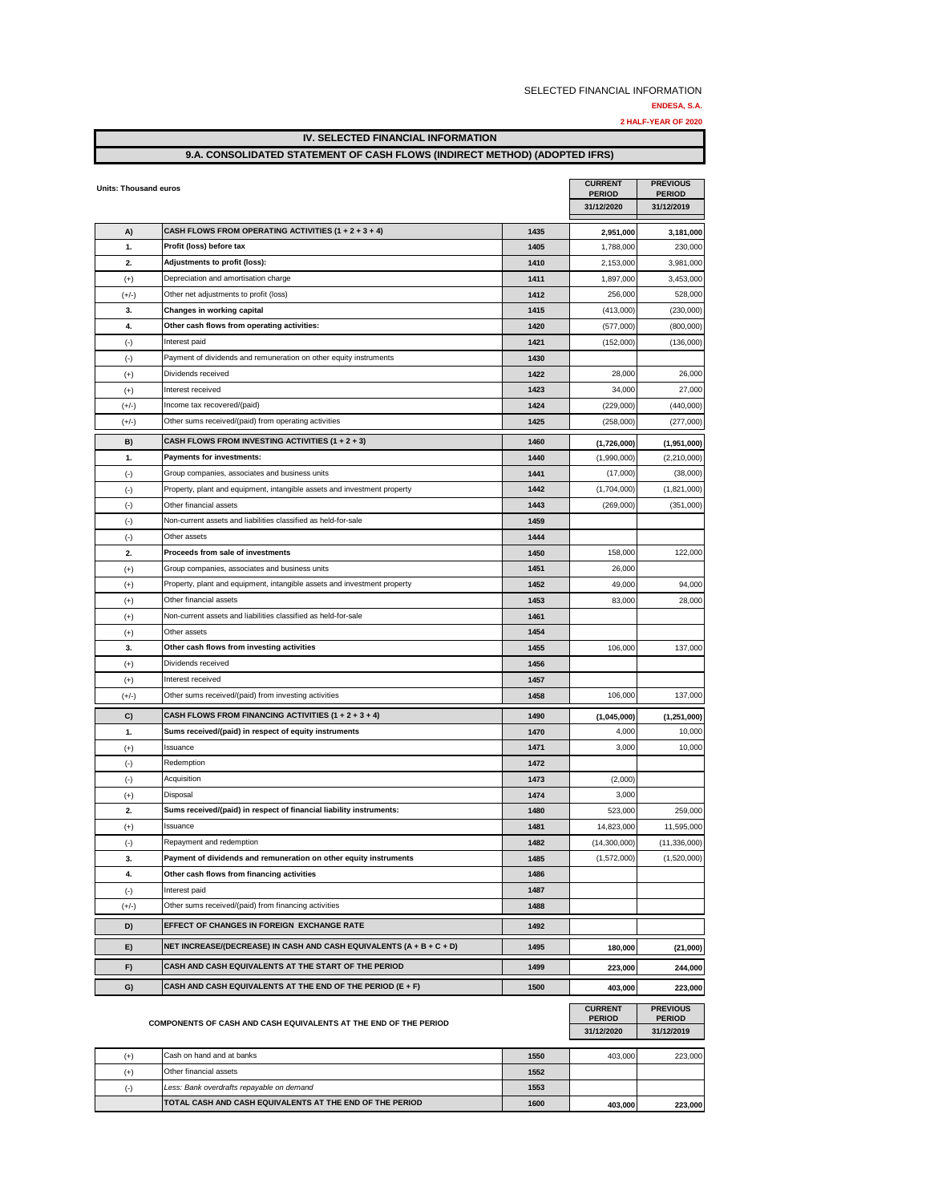**ENDESA, S.A.**

**2 HALF-YEAR OF 2020**

#### **IV. SELECTED FINANCIAL INFORMATION**

#### **9.A. CONSOLIDATED STATEMENT OF CASH FLOWS (INDIRECT METHOD) (ADOPTED IFRS)**

| <b>Units: Thousand euros</b> |                                                                          |      | <b>CURRENT</b><br><b>PERIOD</b>               | <b>PREVIOUS</b><br><b>PERIOD</b>               |
|------------------------------|--------------------------------------------------------------------------|------|-----------------------------------------------|------------------------------------------------|
|                              |                                                                          |      | 31/12/2020                                    | 31/12/2019                                     |
| A)                           | CASH FLOWS FROM OPERATING ACTIVITIES (1 + 2 + 3 + 4)                     | 1435 | 2,951,000                                     | 3,181,000                                      |
| 1.                           | Profit (loss) before tax                                                 | 1405 | 1,788,000                                     | 230,000                                        |
| 2.                           | Adjustments to profit (loss):                                            | 1410 | 2,153,000                                     | 3,981,000                                      |
| $(+)$                        | Depreciation and amortisation charge                                     | 1411 | 1,897,000                                     | 3,453,000                                      |
| $(+/-)$                      | Other net adjustments to profit (loss)                                   | 1412 | 256,000                                       | 528,000                                        |
| 3.                           | Changes in working capital                                               | 1415 | (413,000)                                     | (230,000)                                      |
| 4.                           | Other cash flows from operating activities:                              | 1420 | (577,000)                                     | (800,000)                                      |
| $(\cdot)$                    | Interest paid                                                            | 1421 | (152,000)                                     | (136,000)                                      |
| $(\cdot)$                    | Payment of dividends and remuneration on other equity instruments        | 1430 |                                               |                                                |
| $^{(+)}$                     | Dividends received                                                       | 1422 | 28,000                                        | 26,000                                         |
| $^{(+)}$                     | Interest received                                                        | 1423 | 34,000                                        | 27,000                                         |
| $(+/-)$                      | Income tax recovered/(paid)                                              | 1424 | (229,000)                                     | (440,000)                                      |
| $(+/-)$                      | Other sums received/(paid) from operating activities                     | 1425 | (258,000)                                     | (277,000)                                      |
| B)                           | CASH FLOWS FROM INVESTING ACTIVITIES (1 + 2 + 3)                         | 1460 | (1,726,000)                                   | (1,951,000)                                    |
| 1.                           | Payments for investments:                                                | 1440 | (1,990,000)                                   | (2, 210, 000)                                  |
| $(\cdot)$                    | Group companies, associates and business units                           | 1441 | (17,000)                                      | (38,000)                                       |
| $(\cdot)$                    | Property, plant and equipment, intangible assets and investment property | 1442 | (1,704,000)                                   | (1,821,000)                                    |
| $(\cdot)$                    | Other financial assets                                                   | 1443 | (269,000)                                     | (351,000)                                      |
| $(\cdot)$                    | Non-current assets and liabilities classified as held-for-sale           | 1459 |                                               |                                                |
| $(\cdot)$                    | Other assets                                                             | 1444 |                                               |                                                |
| 2.                           | Proceeds from sale of investments                                        | 1450 | 158,000                                       | 122,000                                        |
| $^{(+)}$                     | Group companies, associates and business units                           | 1451 | 26,000                                        |                                                |
| $^{(+)}$                     | Property, plant and equipment, intangible assets and investment property | 1452 | 49,000                                        | 94,000                                         |
| $^{(+)}$                     | Other financial assets                                                   | 1453 | 83,000                                        | 28,000                                         |
| $(+)$                        | Non-current assets and liabilities classified as held-for-sale           | 1461 |                                               |                                                |
| $^{(+)}$                     | Other assets                                                             | 1454 |                                               |                                                |
| 3.                           | Other cash flows from investing activities                               | 1455 | 106,000                                       | 137,000                                        |
| $^{(+)}$                     | Dividends received                                                       | 1456 |                                               |                                                |
| $^{(+)}$                     | Interest received                                                        | 1457 |                                               |                                                |
| $(+/-)$                      | Other sums received/(paid) from investing activities                     | 1458 | 106,000                                       | 137,000                                        |
| C)                           | CASH FLOWS FROM FINANCING ACTIVITIES $(1 + 2 + 3 + 4)$                   | 1490 | (1,045,000)                                   | (1, 251, 000)                                  |
| 1.                           | Sums received/(paid) in respect of equity instruments                    | 1470 | 4,000                                         | 10,000                                         |
| $^{(+)}$                     | Issuance                                                                 | 1471 | 3,000                                         | 10,000                                         |
| $(\cdot)$                    | Redemption                                                               | 1472 |                                               |                                                |
| $(\cdot)$                    | Acquisition                                                              | 1473 | (2,000)                                       |                                                |
| $^{(+)}$                     | Disposal                                                                 | 1474 | 3,000                                         |                                                |
| 2.                           | Sums received/(paid) in respect of financial liability instruments:      | 1480 | 523,000                                       | 259,000                                        |
| $^{(+)}$                     | Issuance                                                                 | 1481 | 14,823,000                                    | 11,595,000                                     |
| $(\cdot)$                    | Repayment and redemption                                                 | 1482 | (14,300,000)                                  | (11, 336, 000)                                 |
| 3.                           | Payment of dividends and remuneration on other equity instruments        | 1485 | (1,572,000)                                   | (1,520,000)                                    |
| 4.                           | Other cash flows from financing activities                               | 1486 |                                               |                                                |
| $(\cdot)$                    | Interest paid                                                            | 1487 |                                               |                                                |
| $(+/-)$                      | Other sums received/(paid) from financing activities                     | 1488 |                                               |                                                |
| D)                           | EFFECT OF CHANGES IN FOREIGN EXCHANGE RATE                               | 1492 |                                               |                                                |
| E)                           | NET INCREASE/(DECREASE) IN CASH AND CASH EQUIVALENTS (A + B + C + D)     | 1495 |                                               |                                                |
|                              |                                                                          |      | 180,000                                       | (21,000)                                       |
| F)                           | CASH AND CASH EQUIVALENTS AT THE START OF THE PERIOD                     | 1499 | 223,000                                       | 244,000                                        |
| G)                           | CASH AND CASH EQUIVALENTS AT THE END OF THE PERIOD (E + F)               | 1500 | 403,000                                       | 223,000                                        |
|                              | COMPONENTS OF CASH AND CASH EQUIVALENTS AT THE END OF THE PERIOD         |      | <b>CURRENT</b><br><b>PERIOD</b><br>31/12/2020 | <b>PREVIOUS</b><br><b>PERIOD</b><br>31/12/2019 |
| $^{(+)}$                     | Cash on hand and at banks                                                | 1550 | 403,000                                       | 223,000                                        |
| $^{(+)}$                     | Other financial assets                                                   | 1552 |                                               |                                                |
| $(\cdot)$                    | Less: Bank overdrafts repayable on demand                                | 1553 |                                               |                                                |
|                              | TOTAL CASH AND CASH EQUIVALENTS AT THE END OF THE PERIOD                 | 1600 |                                               |                                                |
|                              |                                                                          |      | 403,000                                       | 223,000                                        |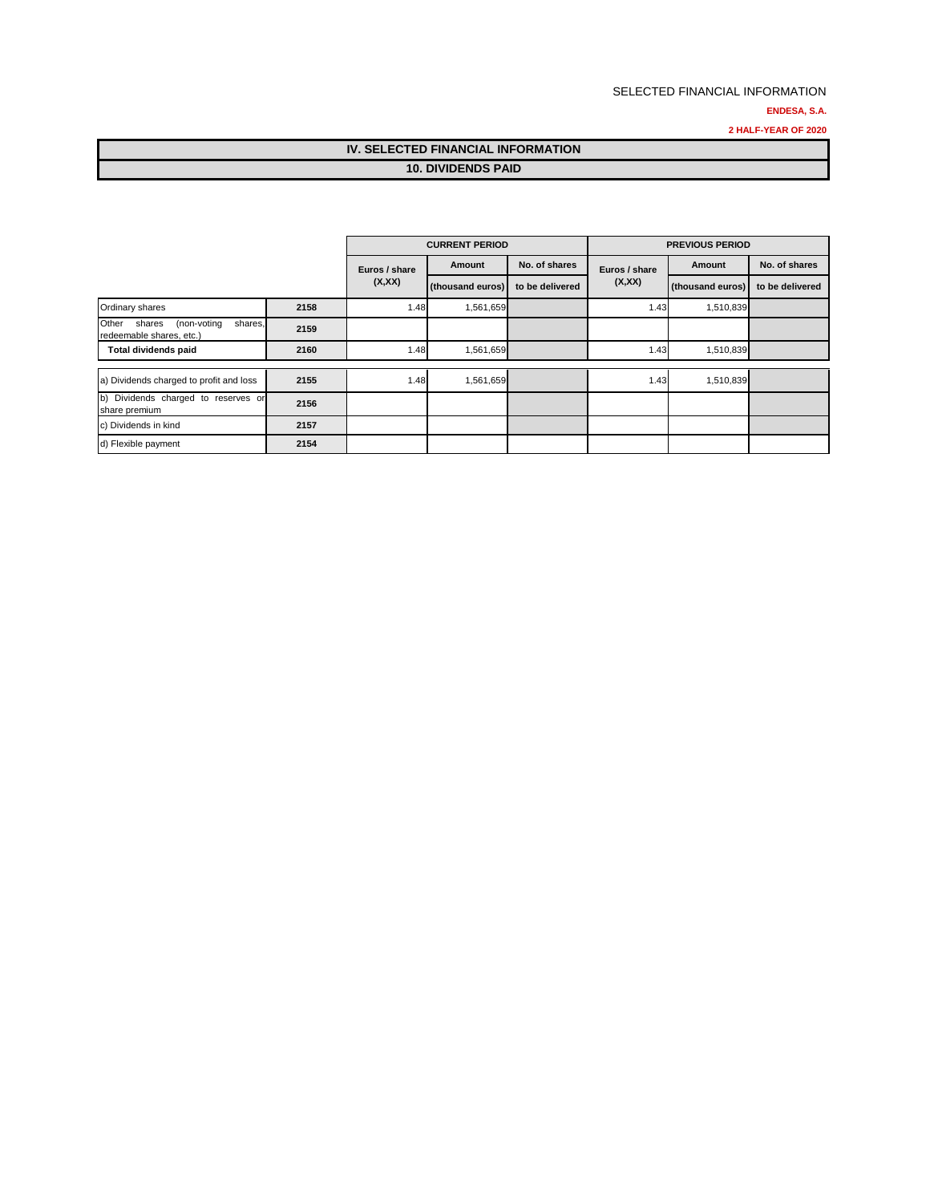#### **ENDESA, S.A.**

**2 HALF-YEAR OF 2020**

## **IV. SELECTED FINANCIAL INFORMATION 10. DIVIDENDS PAID**

|                                                                       |      |               | <b>CURRENT PERIOD</b> |                 |               | <b>PREVIOUS PERIOD</b> |                 |
|-----------------------------------------------------------------------|------|---------------|-----------------------|-----------------|---------------|------------------------|-----------------|
|                                                                       |      | Euros / share | Amount                | No. of shares   | Euros / share | Amount                 | No. of shares   |
|                                                                       |      | (X,XX)        | (thousand euros)      | to be delivered | (X,XX)        | (thousand euros)       | to be delivered |
| Ordinary shares                                                       | 2158 | 1.48          | 1,561,659             |                 | 1.43          | 1,510,839              |                 |
| Other<br>shares<br>(non-voting<br>shares,<br>redeemable shares, etc.) | 2159 |               |                       |                 |               |                        |                 |
| Total dividends paid                                                  | 2160 | 1.48          | 1,561,659             |                 | 1.43          | 1,510,839              |                 |
|                                                                       |      |               |                       |                 |               |                        |                 |
| a) Dividends charged to profit and loss                               | 2155 | 1.48          | 1,561,659             |                 | 1.43          | 1,510,839              |                 |
| b) Dividends charged to reserves or<br>share premium                  | 2156 |               |                       |                 |               |                        |                 |
| c) Dividends in kind                                                  | 2157 |               |                       |                 |               |                        |                 |
| d) Flexible payment                                                   | 2154 |               |                       |                 |               |                        |                 |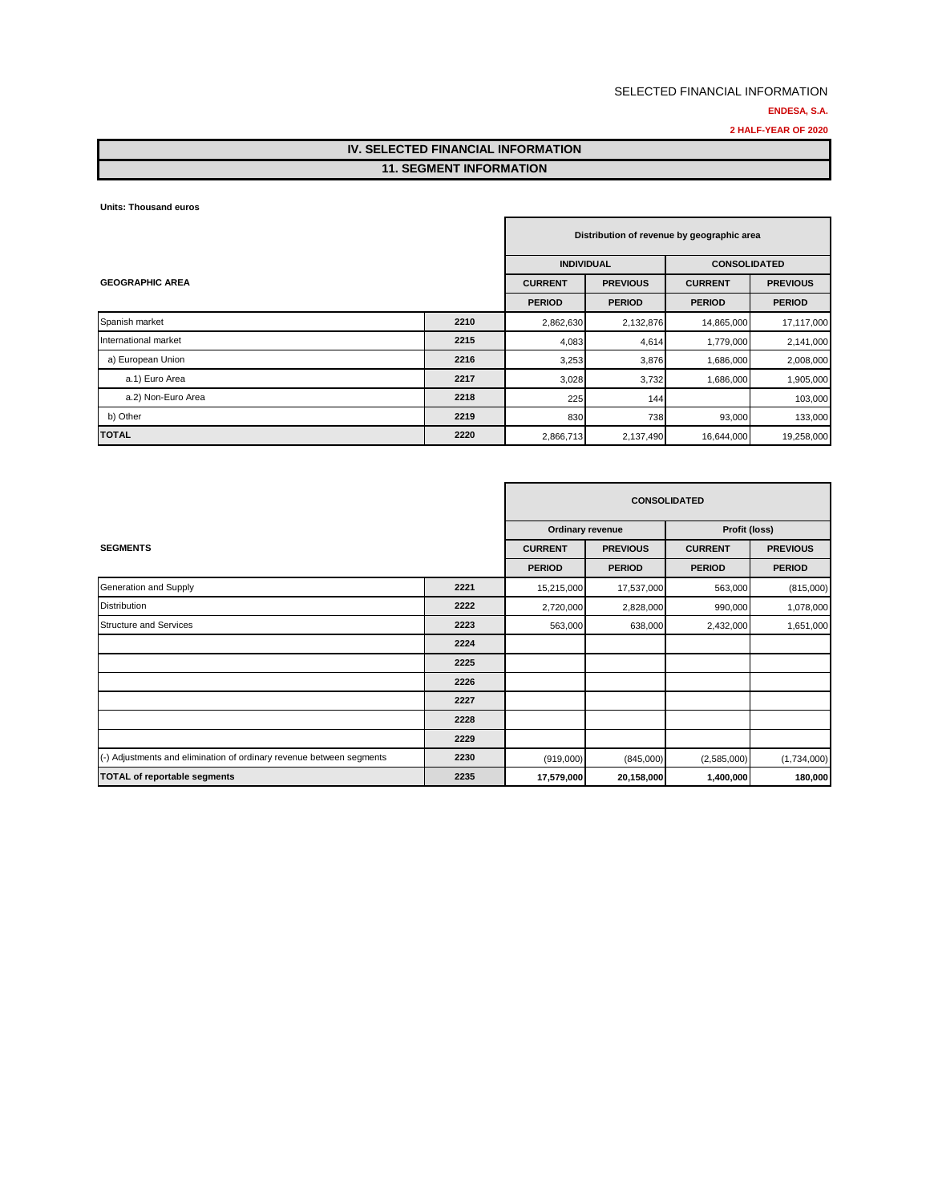## **ENDESA, S.A.**

**2 HALF-YEAR OF 2020**

## **IV. SELECTED FINANCIAL INFORMATION 11. SEGMENT INFORMATION**

**Units: Thousand euros**

| Distribution of revenue by geographic area |      |                   |                 |                     |                 |  |
|--------------------------------------------|------|-------------------|-----------------|---------------------|-----------------|--|
|                                            |      | <b>INDIVIDUAL</b> |                 | <b>CONSOLIDATED</b> |                 |  |
| <b>GEOGRAPHIC AREA</b>                     |      | <b>CURRENT</b>    | <b>PREVIOUS</b> | <b>CURRENT</b>      | <b>PREVIOUS</b> |  |
|                                            |      | <b>PERIOD</b>     | <b>PERIOD</b>   | <b>PERIOD</b>       | <b>PERIOD</b>   |  |
| Spanish market                             | 2210 | 2,862,630         | 2,132,876       | 14,865,000          | 17,117,000      |  |
| International market                       | 2215 | 4,083             | 4,614           | 1,779,000           | 2,141,000       |  |
| a) European Union                          | 2216 | 3,253             | 3,876           | 1,686,000           | 2,008,000       |  |
| a.1) Euro Area                             | 2217 | 3,028             | 3,732           | 1,686,000           | 1,905,000       |  |
| a.2) Non-Euro Area                         | 2218 | 225               | 144             |                     | 103,000         |  |
| b) Other                                   | 2219 | 830               | 738             | 93,000              | 133,000         |  |
| <b>TOTAL</b>                               | 2220 | 2,866,713         | 2,137,490       | 16,644,000          | 19,258,000      |  |

|                                                                      |      |                  |                 | <b>CONSOLIDATED</b> |                 |
|----------------------------------------------------------------------|------|------------------|-----------------|---------------------|-----------------|
|                                                                      |      | Ordinary revenue |                 |                     | Profit (loss)   |
| <b>SEGMENTS</b>                                                      |      | <b>CURRENT</b>   | <b>PREVIOUS</b> | <b>CURRENT</b>      | <b>PREVIOUS</b> |
|                                                                      |      | <b>PERIOD</b>    | <b>PERIOD</b>   | <b>PERIOD</b>       | <b>PERIOD</b>   |
| Generation and Supply                                                | 2221 | 15,215,000       | 17,537,000      | 563,000             | (815,000)       |
| <b>Distribution</b>                                                  | 2222 | 2,720,000        | 2,828,000       | 990,000             | 1,078,000       |
| <b>Structure and Services</b>                                        | 2223 | 563,000          | 638,000         | 2,432,000           | 1,651,000       |
|                                                                      | 2224 |                  |                 |                     |                 |
|                                                                      | 2225 |                  |                 |                     |                 |
|                                                                      | 2226 |                  |                 |                     |                 |
|                                                                      | 2227 |                  |                 |                     |                 |
|                                                                      | 2228 |                  |                 |                     |                 |
|                                                                      | 2229 |                  |                 |                     |                 |
| (-) Adjustments and elimination of ordinary revenue between segments | 2230 | (919,000)        | (845,000)       | (2,585,000)         | (1,734,000)     |
| <b>TOTAL of reportable segments</b>                                  | 2235 | 17,579,000       | 20,158,000      | 1,400,000           | 180,000         |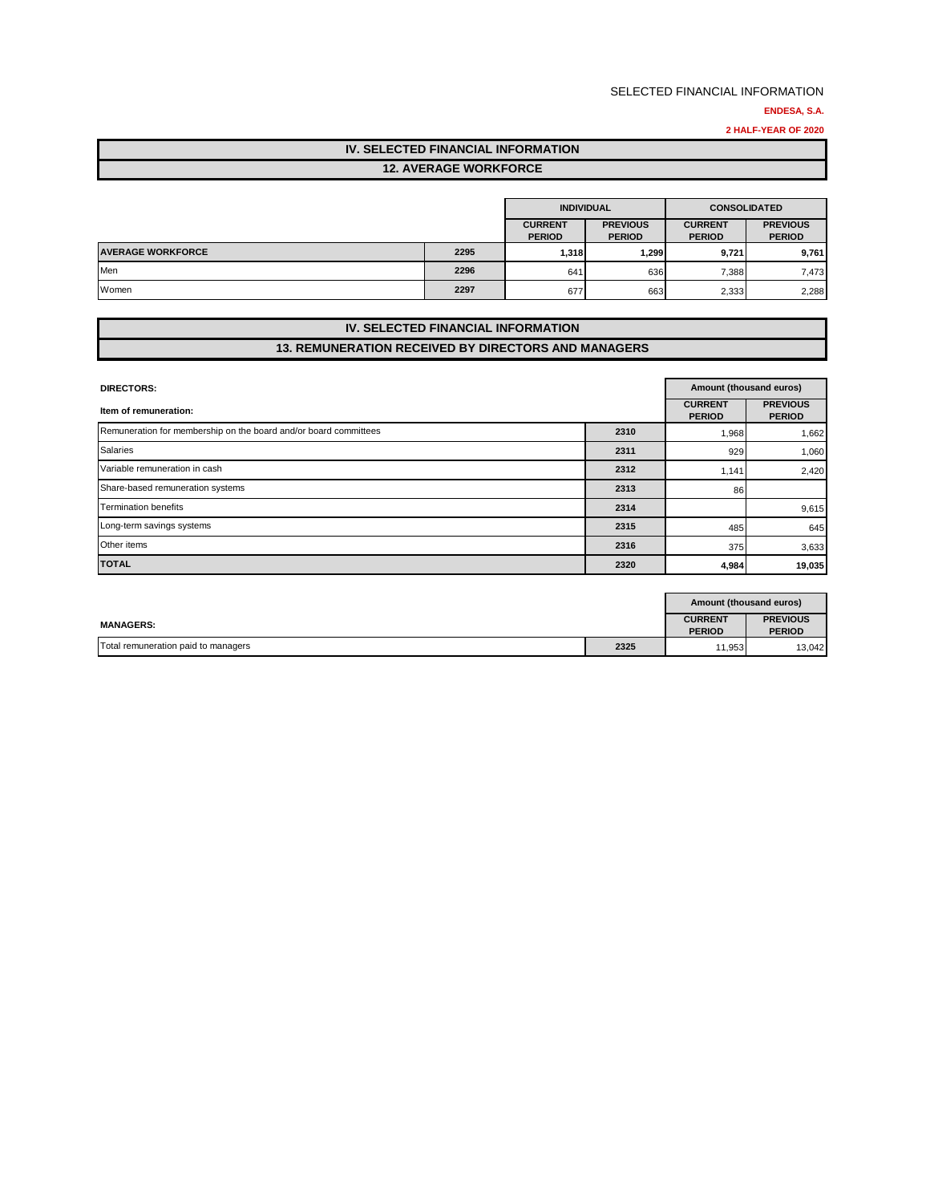#### **ENDESA, S.A.**

**2 HALF-YEAR OF 2020**

## **IV. SELECTED FINANCIAL INFORMATION 12. AVERAGE WORKFORCE**

|                          |      | <b>INDIVIDUAL</b>               |                                  | <b>CONSOLIDATED</b>             |                                  |
|--------------------------|------|---------------------------------|----------------------------------|---------------------------------|----------------------------------|
|                          |      | <b>CURRENT</b><br><b>PERIOD</b> | <b>PREVIOUS</b><br><b>PERIOD</b> | <b>CURRENT</b><br><b>PERIOD</b> | <b>PREVIOUS</b><br><b>PERIOD</b> |
| <b>AVERAGE WORKFORCE</b> | 2295 | 1,318                           | 1.299                            | 9.721                           | 9,761                            |
| Men                      | 2296 | 641                             | 636                              | 7,388                           | 7,473                            |
| Women                    | 2297 | 677                             | 663                              | 2,333                           | 2,288                            |

## **IV. SELECTED FINANCIAL INFORMATION 13. REMUNERATION RECEIVED BY DIRECTORS AND MANAGERS**

| <b>DIRECTORS:</b>                                                |      | Amount (thousand euros)         |                                  |  |
|------------------------------------------------------------------|------|---------------------------------|----------------------------------|--|
| Item of remuneration:                                            |      | <b>CURRENT</b><br><b>PERIOD</b> | <b>PREVIOUS</b><br><b>PERIOD</b> |  |
| Remuneration for membership on the board and/or board committees | 2310 | 1,968                           | 1,662                            |  |
| <b>Salaries</b>                                                  | 2311 | 929                             | 1,060                            |  |
| Variable remuneration in cash                                    | 2312 | 1,141                           | 2,420                            |  |
| Share-based remuneration systems                                 | 2313 | 86                              |                                  |  |
| <b>Termination benefits</b>                                      | 2314 |                                 | 9,615                            |  |
| Long-term savings systems                                        | 2315 | 485                             | 645                              |  |
| Other items                                                      | 2316 | 375                             | 3,633                            |  |
| <b>TOTAL</b>                                                     | 2320 | 4,984                           | 19,035                           |  |

|                                     |      |                                 | Amount (thousand euros)          |
|-------------------------------------|------|---------------------------------|----------------------------------|
| <b>MANAGERS:</b>                    |      | <b>CURRENT</b><br><b>PERIOD</b> | <b>PREVIOUS</b><br><b>PERIOD</b> |
| Total remuneration paid to managers | 2325 | 11,953                          | 13,042                           |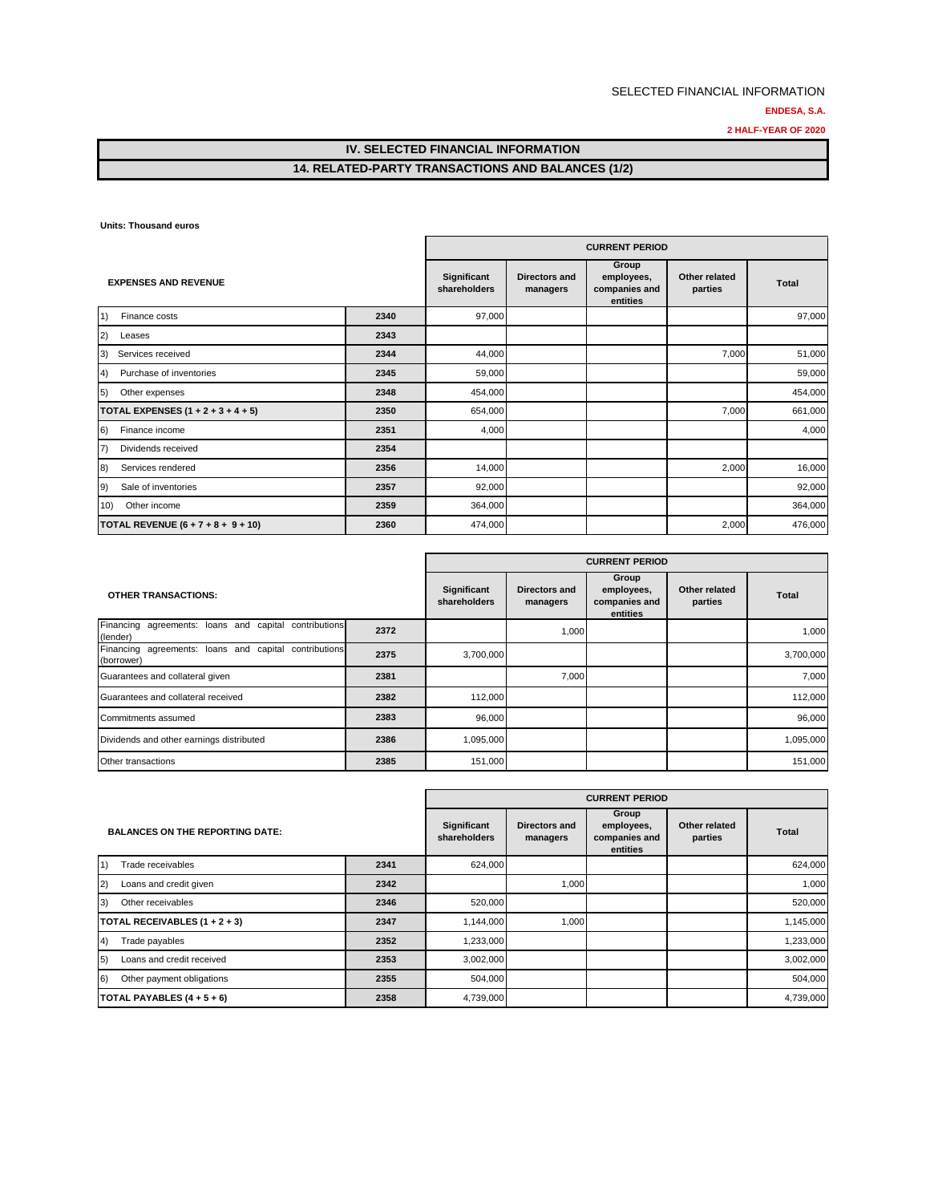#### **ENDESA, S.A.**

**2 HALF-YEAR OF 2020**

## **IV. SELECTED FINANCIAL INFORMATION 14. RELATED-PARTY TRANSACTIONS AND BALANCES (1/2)**

**Units: Thousand euros**

|                                         |      | <b>CURRENT PERIOD</b>       |                           |                                                  |                          |              |  |
|-----------------------------------------|------|-----------------------------|---------------------------|--------------------------------------------------|--------------------------|--------------|--|
| <b>EXPENSES AND REVENUE</b>             |      | Significant<br>shareholders | Directors and<br>managers | Group<br>employees,<br>companies and<br>entities | Other related<br>parties | <b>Total</b> |  |
| 1)<br>Finance costs                     | 2340 | 97,000                      |                           |                                                  |                          | 97,000       |  |
| (2)<br>Leases                           | 2343 |                             |                           |                                                  |                          |              |  |
| 3)<br>Services received                 | 2344 | 44,000                      |                           |                                                  | 7,000                    | 51,000       |  |
| Purchase of inventories<br>4)           | 2345 | 59,000                      |                           |                                                  |                          | 59,000       |  |
| 5)<br>Other expenses                    | 2348 | 454,000                     |                           |                                                  |                          | 454,000      |  |
| TOTAL EXPENSES $(1 + 2 + 3 + 4 + 5)$    | 2350 | 654,000                     |                           |                                                  | 7,000                    | 661,000      |  |
| Finance income<br>6)                    | 2351 | 4,000                       |                           |                                                  |                          | 4,000        |  |
| $\left( 7\right)$<br>Dividends received | 2354 |                             |                           |                                                  |                          |              |  |
| 8)<br>Services rendered                 | 2356 | 14,000                      |                           |                                                  | 2,000                    | 16,000       |  |
| 9)<br>Sale of inventories               | 2357 | 92,000                      |                           |                                                  |                          | 92,000       |  |
| Other income<br>(10)                    | 2359 | 364,000                     |                           |                                                  |                          | 364,000      |  |
| TOTAL REVENUE $(6 + 7 + 8 + 9 + 10)$    | 2360 | 474,000                     |                           |                                                  | 2,000                    | 476,000      |  |

|                                                                     |      | <b>CURRENT PERIOD</b>              |                                  |                                                  |                          |              |  |
|---------------------------------------------------------------------|------|------------------------------------|----------------------------------|--------------------------------------------------|--------------------------|--------------|--|
| <b>OTHER TRANSACTIONS:</b>                                          |      | <b>Significant</b><br>shareholders | <b>Directors and</b><br>managers | Group<br>employees,<br>companies and<br>entities | Other related<br>parties | <b>Total</b> |  |
| Financing agreements: loans and capital contributions<br>(lender)   | 2372 |                                    | 1,000                            |                                                  |                          | 1,000        |  |
| Financing agreements: loans and capital contributions<br>(borrower) | 2375 | 3,700,000                          |                                  |                                                  |                          | 3,700,000    |  |
| Guarantees and collateral given                                     | 2381 |                                    | 7,000                            |                                                  |                          | 7,000        |  |
| Guarantees and collateral received                                  | 2382 | 112,000                            |                                  |                                                  |                          | 112,000      |  |
| Commitments assumed                                                 | 2383 | 96,000                             |                                  |                                                  |                          | 96,000       |  |
| Dividends and other earnings distributed                            | 2386 | 1,095,000                          |                                  |                                                  |                          | 1,095,000    |  |
| Other transactions                                                  | 2385 | 151,000                            |                                  |                                                  |                          | 151,000      |  |

|                                                |      | <b>CURRENT PERIOD</b>       |                           |                                                  |                          |              |
|------------------------------------------------|------|-----------------------------|---------------------------|--------------------------------------------------|--------------------------|--------------|
| <b>BALANCES ON THE REPORTING DATE:</b>         |      | Significant<br>shareholders | Directors and<br>managers | Group<br>employees,<br>companies and<br>entities | Other related<br>parties | <b>Total</b> |
| $\vert$ 1)<br>Trade receivables                | 2341 | 624,000                     |                           |                                                  |                          | 624,000      |
| 2)<br>Loans and credit given                   | 2342 |                             | 1,000                     |                                                  |                          | 1,000        |
| 3)<br>Other receivables                        | 2346 | 520,000                     |                           |                                                  |                          | 520,000      |
| TOTAL RECEIVABLES $(1 + 2 + 3)$                | 2347 | 1,144,000                   | 1,000                     |                                                  |                          | 1,145,000    |
| Trade payables<br>(4)                          | 2352 | 1,233,000                   |                           |                                                  |                          | 1,233,000    |
| Loans and credit received<br>$\vert 5 \rangle$ | 2353 | 3,002,000                   |                           |                                                  |                          | 3,002,000    |
| 6)<br>Other payment obligations                | 2355 | 504,000                     |                           |                                                  |                          | 504,000      |
| TOTAL PAYABLES $(4 + 5 + 6)$                   | 2358 | 4,739,000                   |                           |                                                  |                          | 4,739,000    |